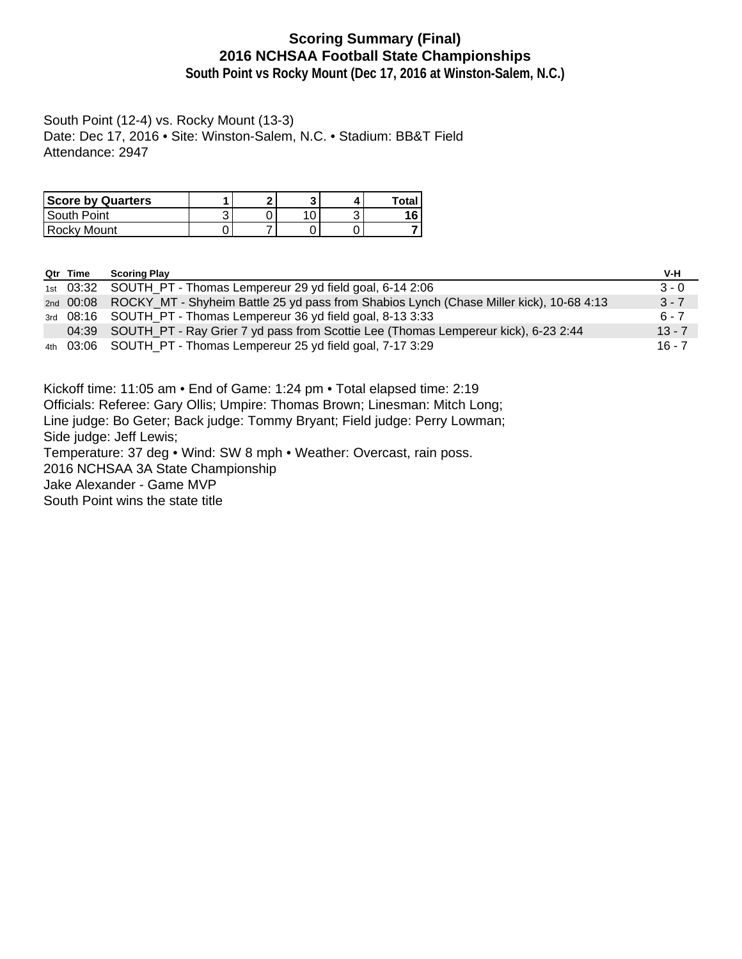# **Scoring Summary (Final) 2016 NCHSAA Football State Championships**

**South Point vs Rocky Mount (Dec 17, 2016 at Winston-Salem, N.C.)**

South Point (12-4) vs. Rocky Mount (13-3) Date: Dec 17, 2016 • Site: Winston-Salem, N.C. • Stadium: BB&T Field Attendance: 2947

| <b>Score by Quarters</b> | ິ |     | Total |
|--------------------------|---|-----|-------|
| South Point              |   | ں ۔ | 16    |
| l Rockv Mount            |   |     |       |

| Qtr Time | <b>Scoring Play</b>                                                                               | V-H      |
|----------|---------------------------------------------------------------------------------------------------|----------|
|          | 1st 03:32 SOUTH PT - Thomas Lempereur 29 yd field goal, 6-14 2:06                                 | $3 - 0$  |
|          | 2nd 00:08 ROCKY_MT - Shyheim Battle 25 yd pass from Shabios Lynch (Chase Miller kick), 10-68 4:13 | $3 - 7$  |
|          | 3rd 08:16 SOUTH_PT - Thomas Lempereur 36 yd field goal, 8-13 3:33                                 | $6 - 7$  |
|          | 04:39 SOUTH_PT - Ray Grier 7 yd pass from Scottie Lee (Thomas Lempereur kick), 6-23 2:44          | $13 - 7$ |
|          | 4th 03:06 SOUTH PT - Thomas Lempereur 25 yd field goal, 7-17 3:29                                 | $16 - 7$ |

Kickoff time: 11:05 am • End of Game: 1:24 pm • Total elapsed time: 2:19

Officials: Referee: Gary Ollis; Umpire: Thomas Brown; Linesman: Mitch Long;

Line judge: Bo Geter; Back judge: Tommy Bryant; Field judge: Perry Lowman;

Side judge: Jeff Lewis;

Temperature: 37 deg • Wind: SW 8 mph • Weather: Overcast, rain poss.

2016 NCHSAA 3A State Championship

Jake Alexander - Game MVP

South Point wins the state title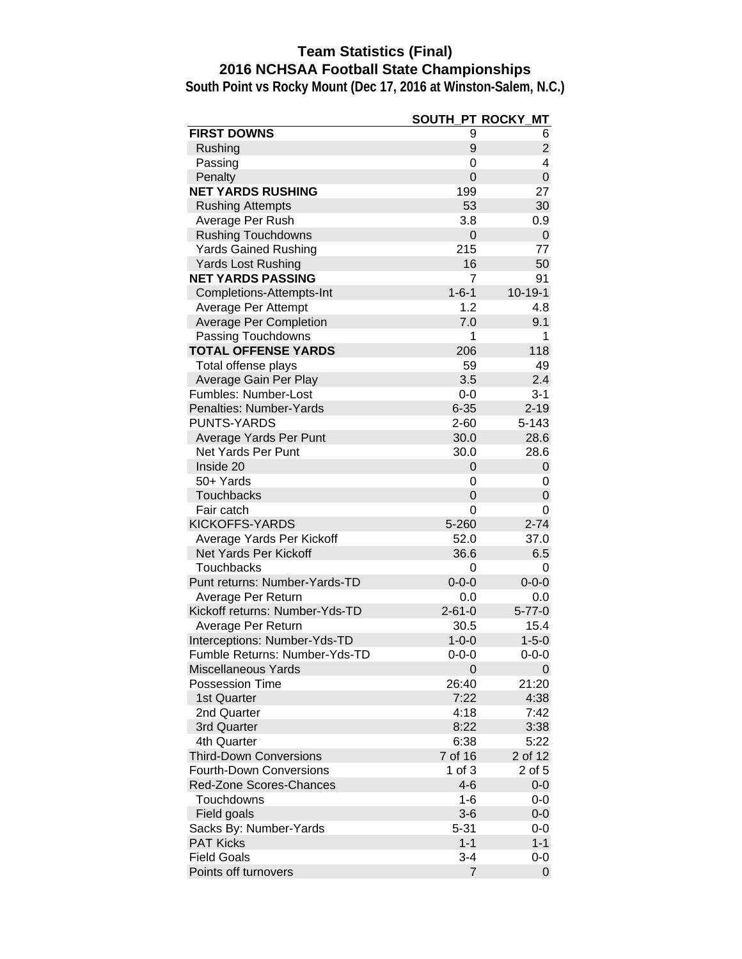# **Team Statistics (Final) 2016 NCHSAA Football State Championships**

|                                | SOUTH_PT ROCKY_ | МT            |
|--------------------------------|-----------------|---------------|
| <b>FIRST DOWNS</b>             | 9               | 6             |
| Rushing                        | 9               | 2             |
| Passing                        | 0               | 4             |
| Penalty                        | $\overline{0}$  | $\pmb{0}$     |
| <b>NET YARDS RUSHING</b>       | 199             | 27            |
| <b>Rushing Attempts</b>        | 53              | 30            |
| Average Per Rush               | 3.8             | 0.9           |
| <b>Rushing Touchdowns</b>      | 0               | $\mathbf{0}$  |
| <b>Yards Gained Rushing</b>    | 215             | 77            |
| <b>Yards Lost Rushing</b>      | 16              | 50            |
| <b>NET YARDS PASSING</b>       | 7               | 91            |
| Completions-Attempts-Int       | $1 - 6 - 1$     | $10 - 19 - 1$ |
| Average Per Attempt            | 1.2             | 4.8           |
| <b>Average Per Completion</b>  | 7.0             | 9.1           |
| Passing Touchdowns             | 1               | 1             |
| <b>TOTAL OFFENSE YARDS</b>     | 206             | 118           |
| Total offense plays            | 59              | 49            |
| Average Gain Per Play          | 3.5             | 2.4           |
| Fumbles: Number-Lost           | $0-0$           | $3 - 1$       |
| Penalties: Number-Yards        | $6 - 35$        | $2 - 19$      |
| <b>PUNTS-YARDS</b>             | 2-60            | 5-143         |
| Average Yards Per Punt         | 30.0            | 28.6          |
| <b>Net Yards Per Punt</b>      | 30.0            | 28.6          |
| Inside 20                      | $\mathbf 0$     | 0             |
| 50+ Yards                      | 0               | 0             |
| <b>Touchbacks</b>              | 0               | 0             |
| Fair catch                     | 0               | 0             |
| KICKOFFS-YARDS                 | 5-260           | $2 - 74$      |
| Average Yards Per Kickoff      | 52.0            | 37.0          |
| <b>Net Yards Per Kickoff</b>   | 36.6            | 6.5           |
| Touchbacks                     | 0               | 0             |
| Punt returns: Number-Yards-TD  | $0 - 0 - 0$     | $0 - 0 - 0$   |
| Average Per Return             | 0.0             | 0.0           |
| Kickoff returns: Number-Yds-TD | $2 - 61 - 0$    | $5 - 77 - 0$  |
| Average Per Return             | 30.5            | 15.4          |
| Interceptions: Number-Yds-TD   | $1 - 0 - 0$     | $1 - 5 - 0$   |
| Fumble Returns: Number-Yds-TD  | $0 - 0 - 0$     | $0 - 0 - 0$   |
| <b>Miscellaneous Yards</b>     | 0               | $\mathbf 0$   |
| <b>Possession Time</b>         | 26:40           | 21:20         |
| 1st Quarter                    | 7:22            | 4:38          |
| 2nd Quarter                    | 4:18            | 7:42          |
| 3rd Quarter                    | 8:22            | 3:38          |
| 4th Quarter                    | 6:38            | 5:22          |
| <b>Third-Down Conversions</b>  | 7 of 16         | 2 of 12       |
| <b>Fourth-Down Conversions</b> | 1 of 3          | 2 of 5        |
| Red-Zone Scores-Chances        | $4 - 6$         | $0-0$         |
| Touchdowns                     | 1-6             | $0-0$         |
| Field goals                    | $3-6$           | $0-0$         |
| Sacks By: Number-Yards         | 5-31            | 0-0           |
| <b>PAT Kicks</b>               | $1 - 1$         | $1 - 1$       |
| <b>Field Goals</b>             | 3-4             | 0-0           |
| Points off turnovers           | $\overline{7}$  | 0             |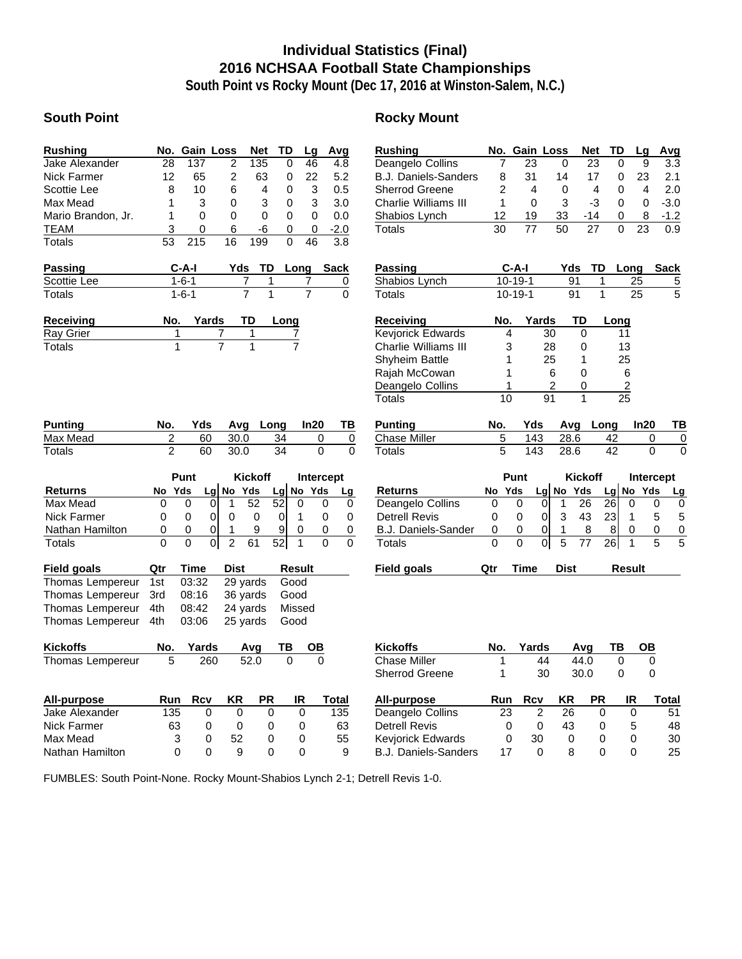# **Individual Statistics (Final) 2016 NCHSAA Football State Championships**

**South Point vs Rocky Mount (Dec 17, 2016 at Winston-Salem, N.C.)**

### **South Point Rocky Mount**

| <b>Rushing</b>     |    |     | No. Gain Loss | Net | TD. | Lq       | Avg    |
|--------------------|----|-----|---------------|-----|-----|----------|--------|
| Jake Alexander     | 28 | 137 | 2             | 135 | 0   | 46       | 4.8    |
| Nick Farmer        | 12 | 65  | 2             | 63  | 0   | 22       | 5.2    |
| Scottie Lee        | 8  | 10  | 6             | 4   | O   | 3        | 0.5    |
| Max Mead           | 1  | 3   | 0             | 3   | 0   | 3        | 3.0    |
| Mario Brandon, Jr. | 1  | 0   | 0             | 0   | Ω   | 0        | 0.O    |
| <b>TEAM</b>        | 3  | O   | 6             | -6  | Ω   | $\Omega$ | $-2.0$ |
| <b>Totals</b>      | 53 | 215 | 16            | 199 |     | 46       | 3.8    |

| <b>Passing</b> | $C-A-I$     |  | Yds TD Long Sack |  |
|----------------|-------------|--|------------------|--|
| Scottie Lee    | 1-6-1       |  |                  |  |
| Totals         | $1 - 6 - 1$ |  |                  |  |

| <b>Receiving</b> | No. | Yards | TD | Long |
|------------------|-----|-------|----|------|
| Ray Grier        |     |       |    |      |
| Totals           |     |       |    |      |

| <b>Punting</b>     | No. |                | Yds         |                | Avg            | Long      |               | In20      | ΤВ           |
|--------------------|-----|----------------|-------------|----------------|----------------|-----------|---------------|-----------|--------------|
| Max Mead           |     | 2              | 60          |                | 30.0           | 34        |               | 0         | 0            |
| <b>Totals</b>      |     | $\overline{2}$ | 60          |                | 30.0           | 34        |               | 0         | 0            |
|                    |     | <b>Punt</b>    |             |                | <b>Kickoff</b> |           |               | Intercept |              |
| <b>Returns</b>     | No  | Yds            | Lgl         | No             | Yds            | Lgl       | No            | Yds       | <u>Lg</u>    |
| Max Mead           | 0   |                | 0<br>0      | 1              | 52             | 52        | 0             | 0         | 0            |
| <b>Nick Farmer</b> | 0   |                | 0<br>0      | 0              | 0              | 0         | 1             | 0         | 0            |
| Nathan Hamilton    | 0   |                | 0<br>0      | 1              | 9              | 9         | 0             | 0         | 0            |
| <b>Totals</b>      | 0   |                | 0<br>0      | $\overline{c}$ | 61             | 52        | 1             | 0         | 0            |
| Field goals        | Qtr |                | <b>Time</b> | <b>Dist</b>    |                |           | <b>Result</b> |           |              |
| Thomas Lempereur   | 1st |                | 03:32       |                | 29 yards       |           | Good          |           |              |
| Thomas Lempereur   | 3rd |                | 08:16       |                | 36 yards       |           | Good          |           |              |
| Thomas Lempereur   | 4th |                | 08:42       |                | 24 yards       |           | Missed        |           |              |
| Thomas Lempereur   | 4th |                | 03:06       |                | 25 yards       |           | Good          |           |              |
| Kickoffs           | No. |                | Yards       |                | Avg            | ΤВ        |               | OΒ        |              |
| Thomas Lempereur   |     | 5              | 260         |                | 52.0           |           | $\Omega$      | 0         |              |
|                    |     |                |             |                |                |           |               |           |              |
| All-purpose        | Run |                | <b>Rcv</b>  | ΚR             |                | <b>PR</b> | ΙR            |           | <b>Total</b> |
| Jake Alexander     |     | 135            | 0           |                | 0              | 0         | 0             |           | 135          |
| Nick Farmer        |     | 63             | 0           |                | 0              | 0         | 0             |           | 63           |
| Max Mead           |     | 3              | 0           | 52             |                | 0         | 0             |           | 55           |

Nathan Hamilton 0 0 9 0 0 9

| No. |                                                                    | Gain Loss                                                                                                                 |                                                                                                                                  | Net                                                                                                  |                                                                      | TD                                                         | Lg                                                                                             | Avg                          |                                                                  |
|-----|--------------------------------------------------------------------|---------------------------------------------------------------------------------------------------------------------------|----------------------------------------------------------------------------------------------------------------------------------|------------------------------------------------------------------------------------------------------|----------------------------------------------------------------------|------------------------------------------------------------|------------------------------------------------------------------------------------------------|------------------------------|------------------------------------------------------------------|
|     |                                                                    |                                                                                                                           | 0                                                                                                                                |                                                                                                      |                                                                      | 0                                                          | 9                                                                                              |                              | 3.3                                                              |
|     |                                                                    |                                                                                                                           | 14                                                                                                                               |                                                                                                      |                                                                      | 0                                                          |                                                                                                |                              | 2.1                                                              |
|     |                                                                    | 4                                                                                                                         | 0                                                                                                                                |                                                                                                      |                                                                      | 0                                                          | 4                                                                                              |                              | 2.0                                                              |
|     |                                                                    | $\Omega$                                                                                                                  | 3                                                                                                                                |                                                                                                      |                                                                      | $\mathbf{0}$                                               | 0                                                                                              | $-3.0$                       |                                                                  |
|     |                                                                    |                                                                                                                           | 33                                                                                                                               |                                                                                                      |                                                                      | 0                                                          | 8                                                                                              | $-1.2$                       |                                                                  |
|     |                                                                    |                                                                                                                           | 50                                                                                                                               |                                                                                                      |                                                                      | 0                                                          |                                                                                                |                              | 0.9                                                              |
|     |                                                                    |                                                                                                                           |                                                                                                                                  |                                                                                                      |                                                                      |                                                            |                                                                                                | <b>Sack</b>                  |                                                                  |
|     |                                                                    |                                                                                                                           |                                                                                                                                  |                                                                                                      | 1                                                                    |                                                            |                                                                                                |                              | $\frac{5}{5}$                                                    |
|     |                                                                    |                                                                                                                           |                                                                                                                                  |                                                                                                      | $\overline{1}$                                                       |                                                            |                                                                                                |                              |                                                                  |
|     |                                                                    |                                                                                                                           |                                                                                                                                  | TD                                                                                                   |                                                                      |                                                            |                                                                                                |                              |                                                                  |
|     |                                                                    |                                                                                                                           |                                                                                                                                  | 0                                                                                                    |                                                                      | 11                                                         |                                                                                                |                              |                                                                  |
|     |                                                                    |                                                                                                                           |                                                                                                                                  | 0                                                                                                    |                                                                      | 13                                                         |                                                                                                |                              |                                                                  |
|     | 1                                                                  |                                                                                                                           |                                                                                                                                  | 1                                                                                                    |                                                                      | 25                                                         |                                                                                                |                              |                                                                  |
|     | 1                                                                  | 6                                                                                                                         |                                                                                                                                  | $\mathbf 0$                                                                                          |                                                                      | 6                                                          |                                                                                                |                              |                                                                  |
|     | 1                                                                  |                                                                                                                           |                                                                                                                                  | 0                                                                                                    |                                                                      |                                                            |                                                                                                |                              |                                                                  |
|     |                                                                    |                                                                                                                           |                                                                                                                                  | 1                                                                                                    |                                                                      |                                                            |                                                                                                |                              |                                                                  |
|     |                                                                    |                                                                                                                           |                                                                                                                                  |                                                                                                      |                                                                      |                                                            |                                                                                                |                              | ΤВ                                                               |
|     |                                                                    |                                                                                                                           |                                                                                                                                  |                                                                                                      |                                                                      |                                                            |                                                                                                |                              | 0                                                                |
|     |                                                                    |                                                                                                                           |                                                                                                                                  |                                                                                                      |                                                                      |                                                            |                                                                                                |                              | 0                                                                |
|     |                                                                    |                                                                                                                           |                                                                                                                                  |                                                                                                      |                                                                      |                                                            |                                                                                                |                              |                                                                  |
|     |                                                                    |                                                                                                                           |                                                                                                                                  |                                                                                                      |                                                                      |                                                            |                                                                                                |                              | Lg                                                               |
|     |                                                                    |                                                                                                                           |                                                                                                                                  |                                                                                                      |                                                                      |                                                            |                                                                                                |                              | 0                                                                |
|     |                                                                    |                                                                                                                           |                                                                                                                                  |                                                                                                      |                                                                      |                                                            |                                                                                                |                              | 5                                                                |
|     |                                                                    |                                                                                                                           |                                                                                                                                  |                                                                                                      |                                                                      |                                                            |                                                                                                |                              | 0                                                                |
|     |                                                                    |                                                                                                                           |                                                                                                                                  |                                                                                                      |                                                                      |                                                            |                                                                                                |                              | $\overline{5}$                                                   |
|     |                                                                    | <b>Time</b>                                                                                                               |                                                                                                                                  | <b>Dist</b>                                                                                          | <b>Result</b>                                                        |                                                            |                                                                                                |                              |                                                                  |
|     | <b>B.J. Daniels-Sanders</b><br>No<br>0<br>0<br>0<br>$\overline{0}$ | 7<br>8<br>$\overline{2}$<br>1<br>12<br>30<br>No.<br>4<br>3<br>10<br>No.<br>5<br>$\overline{5}$<br>Yds<br>0<br>0<br>0<br>0 | 23<br>31<br>19<br>77<br>C-A-I<br>10-19-1<br>$10-19-1$<br>Yds<br>143<br>143<br>Punt<br>0<br>$\overline{0}$<br>0<br>$\overline{0}$ | Yards<br>30<br>28<br>25<br>$\overline{2}$<br>91<br><b>No</b><br>Lgl<br>1<br>3<br>1<br>$\overline{5}$ | Yds<br>91<br>91<br>Avg<br>28.6<br>28.6<br>Yds<br>26<br>43<br>8<br>77 | 23<br>17<br>4<br>$-3$<br>-14<br>27<br>TD<br><b>Kickoff</b> | Long<br>$\frac{2}{25}$<br>Long<br>42<br>42<br>Lg No<br>26<br>0<br>23<br>1<br>8<br>0<br>26<br>1 | 23<br>23<br>Long<br>25<br>25 | ln20<br>0<br>$\mathbf 0$<br>Intercept<br>Yds<br>0<br>5<br>0<br>5 |

| <b>Kickoffs</b>             | No.             | Yards |      | Avq       | ΤВ | OΒ |       |
|-----------------------------|-----------------|-------|------|-----------|----|----|-------|
| <b>Chase Miller</b>         |                 | 44    | 44.0 |           | 0  | 0  |       |
| <b>Sherrod Greene</b>       | 30.0<br>30<br>1 |       |      | 0         | 0  |    |       |
| All-purpose                 | Run             | Rcv   | KR   | <b>PR</b> | IR |    | Total |
| Deangelo Collins            | 23              | 2     | 26   | 0         | 0  |    | 51    |
| <b>Detrell Revis</b>        | 0               | 0     | 43   | 0         | 5  |    | 48    |
| <b>Keviorick Edwards</b>    | 0               | 30    | 0    | O         | 0  |    | 30    |
| <b>B.J. Daniels-Sanders</b> | 17              | 0     | 8    | O         |    |    | 25    |

FUMBLES: South Point-None. Rocky Mount-Shabios Lynch 2-1; Detrell Revis 1-0.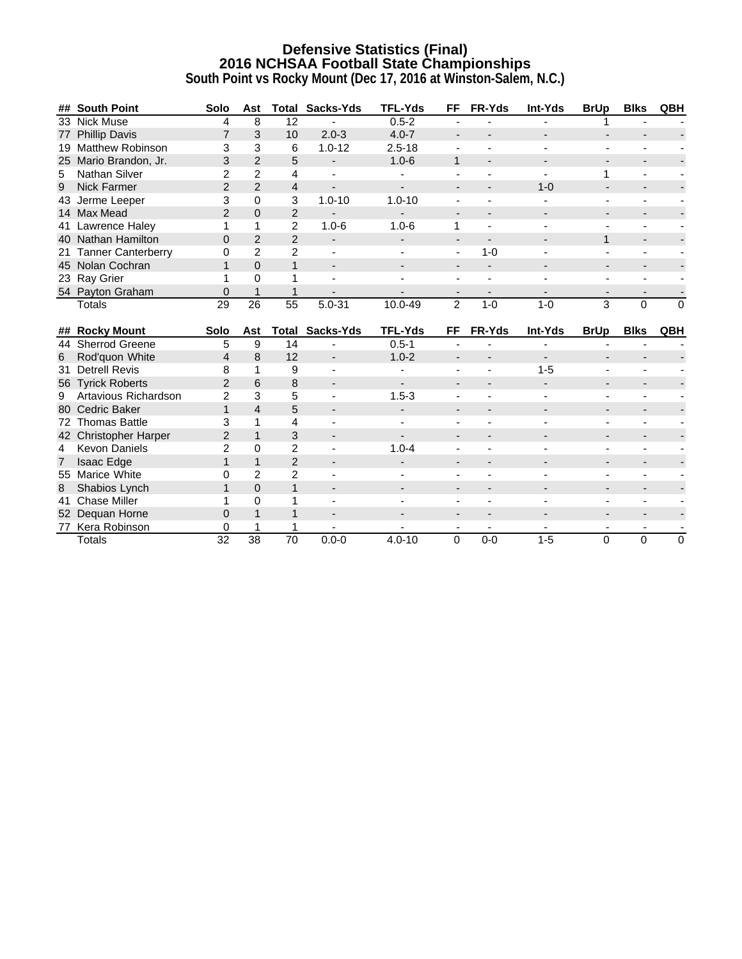# **Defensive Statistics (Final) 2016 NCHSAA Football State Championships**

|                 | ## South Point                    | Solo                 | Ast            | Total                | Sacks-Yds                | <b>TFL-Yds</b>           | <b>FF</b>                            | FR-Yds                    | Int-Yds | <b>BrUp</b>                          | <b>Blks</b>                             | QBH                 |
|-----------------|-----------------------------------|----------------------|----------------|----------------------|--------------------------|--------------------------|--------------------------------------|---------------------------|---------|--------------------------------------|-----------------------------------------|---------------------|
|                 | 33 Nick Muse                      | 4                    | 8              | 12                   |                          | $0.5 - 2$                |                                      |                           |         |                                      |                                         |                     |
|                 | 77 Phillip Davis                  | $\overline{7}$       | 3              | 10                   | $2.0 - 3$                | $4.0 - 7$                |                                      |                           |         |                                      |                                         |                     |
|                 | 19 Matthew Robinson               | 3                    | 3              | 6                    | $1.0 - 12$               | $2.5 - 18$               |                                      |                           |         |                                      |                                         |                     |
|                 | 25 Mario Brandon, Jr.             | 3                    | $\overline{2}$ | 5                    | $\blacksquare$           | $1.0 - 6$                | $\mathbf{1}$                         |                           |         |                                      |                                         |                     |
| 5               | Nathan Silver                     | $\overline{c}$       | 2              | 4                    |                          |                          |                                      |                           |         |                                      |                                         |                     |
| 9               | <b>Nick Farmer</b>                | $\overline{2}$       | $\overline{2}$ | 4                    |                          | -                        |                                      |                           | $1 - 0$ |                                      |                                         |                     |
| 43              | Jerme Leeper                      | 3                    | 0              | 3                    | $1.0 - 10$               | $1.0 - 10$               |                                      |                           |         |                                      |                                         |                     |
|                 | 14 Max Mead                       | $\overline{2}$       | $\overline{0}$ | $\overline{2}$       |                          | $\overline{\phantom{a}}$ |                                      |                           |         |                                      |                                         |                     |
|                 | 41 Lawrence Haley                 | 1                    | 1              | $\overline{2}$       | $1.0 - 6$                | $1.0 - 6$                | 1                                    |                           |         |                                      |                                         |                     |
|                 | 40 Nathan Hamilton                | $\Omega$             | $\overline{2}$ | 2                    |                          |                          |                                      |                           |         | 1                                    |                                         |                     |
| 21              | <b>Tanner Canterberry</b>         | 0                    | $\overline{2}$ | $\overline{2}$       |                          |                          | $\blacksquare$                       | $1 - 0$                   |         | $\blacksquare$                       |                                         |                     |
|                 | 45 Nolan Cochran                  | $\mathbf{1}$         | $\Omega$       | $\mathbf{1}$         | $\overline{\phantom{a}}$ |                          | $\blacksquare$                       | $\blacksquare$            |         |                                      |                                         |                     |
|                 | 23 Ray Grier                      | 1                    | $\Omega$       | 1                    |                          |                          |                                      |                           |         |                                      |                                         |                     |
|                 | 54 Payton Graham                  | $\Omega$             |                |                      |                          |                          |                                      |                           |         |                                      |                                         |                     |
|                 | <b>Totals</b>                     | 29                   | 26             | 55                   | $5.0 - 31$               | 10.0-49                  | $\overline{2}$                       | $1 - 0$                   | $1-0$   | 3                                    | $\mathbf 0$                             | 0                   |
|                 |                                   |                      |                |                      |                          |                          |                                      |                           |         |                                      |                                         |                     |
|                 |                                   |                      |                |                      |                          |                          |                                      |                           |         |                                      |                                         |                     |
|                 | ## Rocky Mount                    | Solo                 | Ast            | Total                | Sacks-Yds                | <b>TFL-Yds</b>           | FF                                   | FR-Yds                    | Int-Yds | <b>BrUp</b>                          | <b>Blks</b>                             | QBH                 |
|                 | 44 Sherrod Greene                 | 5                    | 9              | 14                   |                          | $0.5 - 1$                | $\overline{\phantom{a}}$             |                           |         |                                      |                                         |                     |
| 6               | Rod'quon White                    | $\overline{4}$       | 8              | 12                   |                          | $1.0 - 2$                |                                      |                           |         |                                      |                                         |                     |
|                 | 31 Detrell Revis                  | 8                    | 1              | 9                    |                          |                          |                                      |                           | $1 - 5$ |                                      |                                         |                     |
|                 | 56 Tyrick Roberts                 | 2                    | 6              | 8                    |                          |                          |                                      |                           |         |                                      |                                         |                     |
| 9               | Artavious Richardson              | $\overline{2}$       | 3              | 5                    |                          | $1.5 - 3$                | $\overline{\phantom{a}}$             |                           |         |                                      |                                         |                     |
|                 | 80 Cedric Baker                   | $\mathbf{1}$         | $\overline{4}$ | 5                    |                          | $\overline{\phantom{0}}$ | $\overline{\phantom{a}}$             |                           |         |                                      |                                         |                     |
| 72              | <b>Thomas Battle</b>              | 3                    | 1              | 4                    |                          |                          |                                      |                           |         |                                      |                                         |                     |
|                 | 42 Christopher Harper             | $\overline{2}$       | $\overline{1}$ | 3                    |                          | $\overline{\phantom{a}}$ |                                      |                           |         |                                      |                                         |                     |
| 4               | <b>Kevon Daniels</b>              | $\overline{c}$       | $\Omega$       | $\overline{c}$       |                          | $1.0 - 4$                |                                      |                           |         |                                      |                                         |                     |
| 7               | <b>Isaac Edge</b>                 | $\mathbf{1}$         | 1              | 2                    | $\overline{\phantom{a}}$ |                          |                                      |                           |         |                                      |                                         |                     |
|                 | 55 Marice White                   | 0                    | $\overline{2}$ | $\overline{2}$       |                          |                          |                                      |                           |         |                                      |                                         |                     |
| 8               | Shabios Lynch                     | 1                    | $\overline{0}$ | $\mathbf{1}$         |                          |                          |                                      |                           |         |                                      |                                         |                     |
|                 | 41 Chase Miller                   | 1                    | $\Omega$       | 1                    |                          |                          |                                      |                           |         |                                      |                                         |                     |
| 52 <sub>2</sub> | Dequan Horne                      | $\Omega$             | $\mathbf{1}$   | 1                    |                          |                          |                                      |                           |         |                                      |                                         |                     |
|                 | 77 Kera Robinson<br><b>Totals</b> | 0<br>$\overline{32}$ | 38             | 1<br>$\overline{70}$ | $0.0 - 0$                | $4.0 - 10$               | $\overline{\phantom{a}}$<br>$\Omega$ | $\blacksquare$<br>$0 - 0$ | $1-5$   | $\overline{\phantom{a}}$<br>$\Omega$ | $\overline{\phantom{a}}$<br>$\mathbf 0$ | $\blacksquare$<br>0 |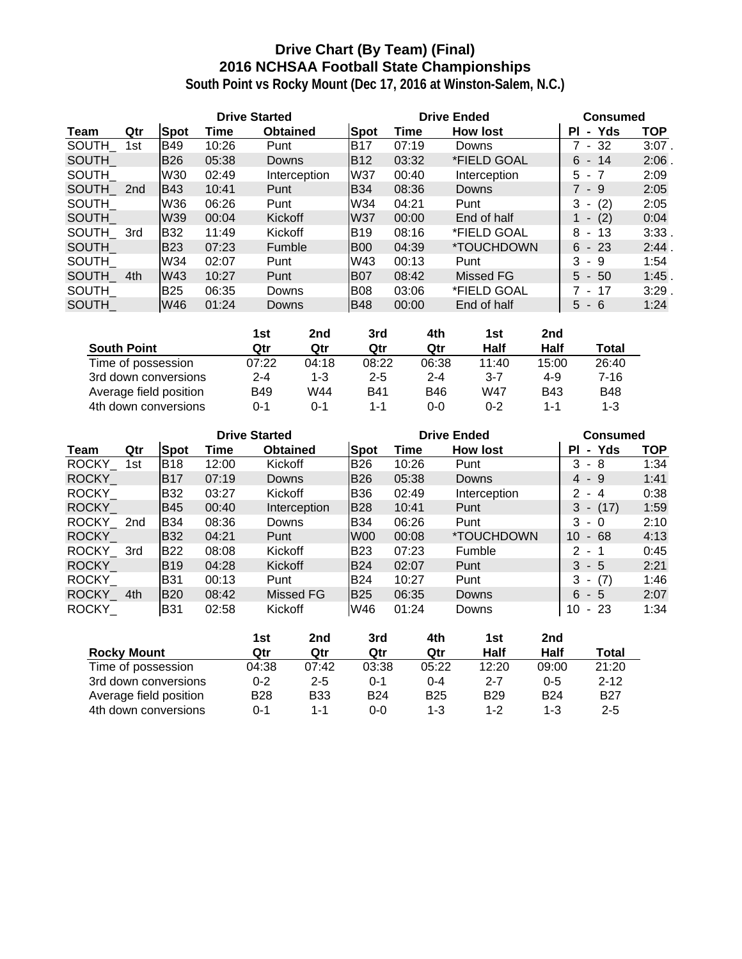# **Drive Chart (By Team) (Final) 2016 NCHSAA Football State Championships**

|              |                 |             | <b>Drive Started</b> |                 |             | <b>Drive Ended</b> | <b>Consumed</b>  |               |            |
|--------------|-----------------|-------------|----------------------|-----------------|-------------|--------------------|------------------|---------------|------------|
| Team         | Qtr             | <b>Spot</b> | Time                 | <b>Obtained</b> | <b>Spot</b> | Time               | <b>How lost</b>  | - Yds<br>PI.  | <b>TOP</b> |
| SOUTH        | 1st             | <b>B49</b>  | 10:26                | Punt            | <b>B17</b>  | 07:19              | Downs            | $-32$         | $3:07$ .   |
| <b>SOUTH</b> |                 | <b>B26</b>  | 05:38                | <b>Downs</b>    | <b>B12</b>  | 03:32              | *FIELD GOAL      | $6 - 14$      | 2:06       |
| <b>SOUTH</b> |                 | W30         | 02:49                | Interception    | W37         | 00:40              | Interception     | $5 - 7$       | 2:09       |
| <b>SOUTH</b> | 2 <sub>nd</sub> | IB43        | 10:41                | Punt            | <b>B34</b>  | 08:36              | Downs            | 7 - 9         | 2:05       |
| SOUTH        |                 | W36         | 06:26                | Punt            | W34         | 04:21              | Punt             | (2)<br>3<br>۰ | 2:05       |
| <b>SOUTH</b> |                 | W39         | 00:04                | <b>Kickoff</b>  | <b>W37</b>  | 00:00              | End of half      | (2)<br>1 -    | 0:04       |
| SOUTH 3rd    |                 | <b>B32</b>  | 11:49                | Kickoff         | <b>B19</b>  | 08:16              | *FIELD GOAL      | - 13<br>8     | 3:33.      |
| <b>SOUTH</b> |                 | <b>B23</b>  | 07:23                | Fumble          | <b>B00</b>  | 04:39              | *TOUCHDOWN       | $6 - 23$      | 2:44.      |
| <b>SOUTH</b> |                 | W34         | 02:07                | Punt            | W43         | 00:13              | Punt             | 3<br>-9       | 1:54       |
| <b>SOUTH</b> | 4th             | W43         | 10:27                | Punt            | <b>B07</b>  | 08:42              | <b>Missed FG</b> | $5 - 50$      | 1:45.      |
| SOUTH        |                 | <b>B25</b>  | 06:35                | Downs           | <b>B08</b>  | 03:06              | *FIELD GOAL      | 7 - 17        | 3:29       |
| <b>SOUTH</b> |                 | W46         | 01:24                | Downs           | <b>B48</b>  | 00:00              | End of half      | 5<br>$-6$     | 1:24       |

|                        | 1st     | 2nd   | 3rd        | 4th        | 1st     | 2nd        |              |
|------------------------|---------|-------|------------|------------|---------|------------|--------------|
| <b>South Point</b>     | Qtr     | Qtr   | Qtr        | Qtr        | Half    | Half       | <b>Total</b> |
| Time of possession     | 07:22   | 04:18 | 08:22      | 06:38      | 11:40   | 15:00      | 26:40        |
| 3rd down conversions   | $2 - 4$ | 1-3   | $2 - 5$    | $2 - 4$    | $3 - 7$ | $4 - 9$    | $7 - 16$     |
| Average field position | B49     | W44   | <b>B41</b> | <b>B46</b> | W47     | <b>B43</b> | <b>B48</b>   |
| 4th down conversions   | በ-1     | ი-1   | 1-1        | $0 - 0$    | $0 - 2$ | $1 - 1$    | 1-3          |

|              |     |             | <b>Drive Started</b> |                 |             | <b>Drive Ended</b> | <b>Consumed</b>          |                                      |      |
|--------------|-----|-------------|----------------------|-----------------|-------------|--------------------|--------------------------|--------------------------------------|------|
| Team         | Qtr | <b>Spot</b> | Time                 | <b>Obtained</b> | Spot        | Time               | <b>How lost</b>          | - Yds<br><b>PI</b>                   | TOP. |
| ROCKY 1st    |     | <b>B18</b>  | 12:00                | Kickoff         | <b>B26</b>  | 10:26              | Punt                     | 3<br>8<br>$\sim$                     | 1:34 |
| <b>ROCKY</b> |     | <b>B17</b>  | 07:19                | Downs           | <b>B26</b>  | 05:38              | Downs                    | $4 - 9$                              | 1:41 |
| <b>ROCKY</b> |     | <b>B32</b>  | 03:27                | Kickoff         | <b>B36</b>  | 02:49              | Interception             | 2.<br>- 4                            | 0:38 |
| <b>ROCKY</b> |     | <b>B45</b>  | 00:40                | Interception    | <b>B28</b>  | 10:41              | Punt                     | 3<br>(17)<br>$\sim$                  | 1:59 |
| ROCKY 2nd    |     | <b>B</b> 34 | 08:36                | Downs           | <b>B</b> 34 | 06:26              | Punt                     | 3<br>- 0                             | 2:10 |
| <b>ROCKY</b> |     | <b>B32</b>  | 04:21                | Punt            | W00         | 00:08              | <i><b>*TOUCHDOWN</b></i> | 10<br>68<br>$\sim$                   | 4:13 |
| ROCKY_3rd    |     | <b>B22</b>  | 08:08                | Kickoff         | <b>B23</b>  | 07:23              | Fumble                   | $\mathcal{P}$<br>- 1                 | 0:45 |
| <b>ROCKY</b> |     | <b>B19</b>  | 04:28                | Kickoff         | <b>B24</b>  | 02:07              | Punt                     | $3 - 5$                              | 2:21 |
| <b>ROCKY</b> |     | <b>B31</b>  | 00:13                | Punt            | <b>B24</b>  | 10:27              | Punt                     | (7)<br>3<br>$\overline{\phantom{a}}$ | 1:46 |
| <b>ROCKY</b> | 4th | <b>B20</b>  | 08:42                | Missed FG       | <b>B25</b>  | 06:35              | Downs                    | $6 - 5$                              | 2:07 |
| <b>ROCKY</b> |     | <b>B31</b>  | 02:58                | Kickoff         | W46         | 01:24              | Downs                    | -23<br>10<br>$\sim$                  | 1:34 |

|                        | 1st     | 2nd        | 3rd        | 4th        | 1st        | 2nd        |            |
|------------------------|---------|------------|------------|------------|------------|------------|------------|
| <b>Rocky Mount</b>     | Qtr     | Qtr        | Qtr        | Qtr        | Half       | Half       | Total      |
| Time of possession     | 04:38   | 07:42      | 03:38      | 05:22      | 12:20      | 09:00      | 21:20      |
| 3rd down conversions   | $0 - 2$ | $2 - 5$    | 0-1        | $0 - 4$    | $2 - 7$    | $0 - 5$    | $2 - 12$   |
| Average field position | B28     | <b>B33</b> | <b>B24</b> | <b>B25</b> | <b>B29</b> | <b>B24</b> | <b>B27</b> |
| 4th down conversions   | 0-1     | 1-1        | 0-0        | $1 - 3$    | $1 - 2$    | $1 - 3$    | $2 - 5$    |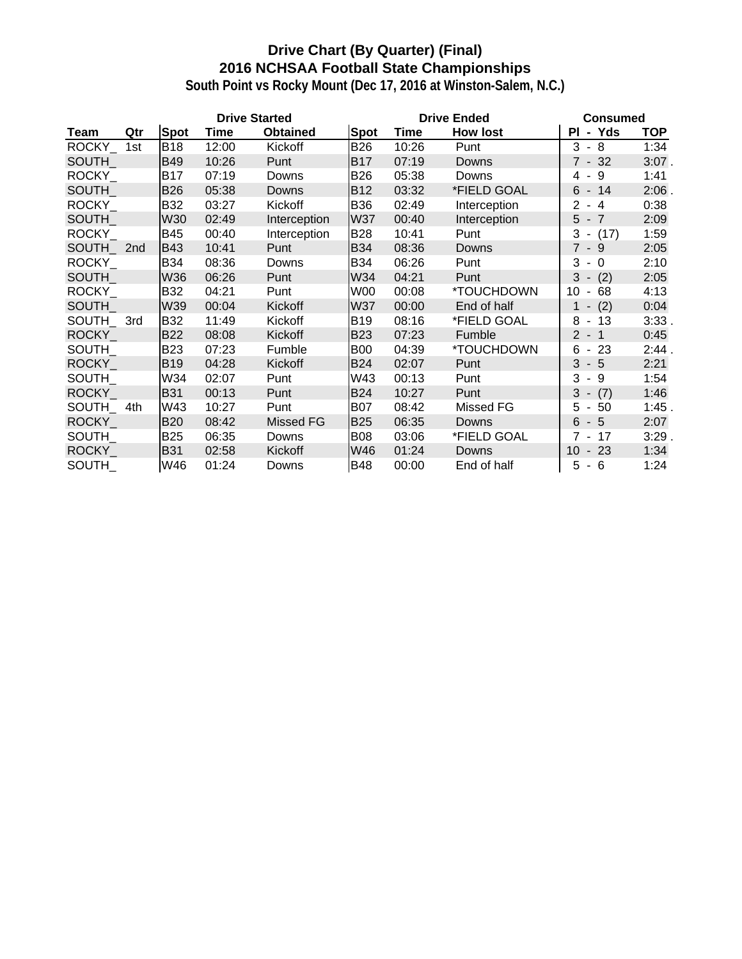# **Drive Chart (By Quarter) (Final) 2016 NCHSAA Football State Championships**

|              |     |             | <b>Drive Started</b> |                 |            |             | <b>Drive Ended</b> | <b>Consumed</b>                                  |            |  |
|--------------|-----|-------------|----------------------|-----------------|------------|-------------|--------------------|--------------------------------------------------|------------|--|
| Team         | Qtr | <b>Spot</b> | Time                 | <b>Obtained</b> | Spot       | <b>Time</b> | <b>How lost</b>    | - Yds<br>PL                                      | <b>TOP</b> |  |
| ROCKY_       | 1st | <b>B18</b>  | 12:00                | Kickoff         | <b>B26</b> | 10:26       | Punt               | 3<br>$-8$                                        | 1:34       |  |
| <b>SOUTH</b> |     | <b>B49</b>  | 10:26                | Punt            | <b>B17</b> | 07:19       | Downs              | $7 - 32$                                         | $3:07$ .   |  |
| ROCKY_       |     | B17         | 07:19                | Downs           | <b>B26</b> | 05:38       | Downs              | - 9<br>4                                         | 1:41       |  |
| <b>SOUTH</b> |     | <b>B26</b>  | 05:38                | Downs           | <b>B12</b> | 03:32       | *FIELD GOAL        | $-14$<br>6                                       | $2:06$ .   |  |
| ROCKY_       |     | <b>B32</b>  | 03:27                | Kickoff         | <b>B36</b> | 02:49       | Interception       | $\overline{2}$<br>-4<br>$\overline{\phantom{a}}$ | 0:38       |  |
| <b>SOUTH</b> |     | <b>W30</b>  | 02:49                | Interception    | <b>W37</b> | 00:40       | Interception       | 5<br>$-7$                                        | 2:09       |  |
| ROCKY_       |     | <b>B45</b>  | 00:40                | Interception    | <b>B28</b> | 10:41       | Punt               | $3 - (17)$                                       | 1:59       |  |
| SOUTH        | 2nd | <b>B43</b>  | 10:41                | Punt            | <b>B34</b> | 08:36       | Downs              | $7 - 9$                                          | 2:05       |  |
| <b>ROCKY</b> |     | <b>B34</b>  | 08:36                | Downs           | <b>B34</b> | 06:26       | Punt               | 3<br>$-0$                                        | 2:10       |  |
| SOUTH_       |     | W36         | 06:26                | Punt            | W34        | 04:21       | Punt               | 3<br>(2)<br>$\overline{\phantom{a}}$             | 2:05       |  |
| <b>ROCKY</b> |     | <b>B32</b>  | 04:21                | Punt            | W00        | 00:08       | *TOUCHDOWN         | 10<br>68<br>$\overline{\phantom{a}}$             | 4:13       |  |
| <b>SOUTH</b> |     | W39         | 00:04                | Kickoff         | <b>W37</b> | 00:00       | End of half        | (2)<br>$\sim$                                    | 0:04       |  |
| SOUTH 3rd    |     | <b>B32</b>  | 11:49                | Kickoff         | <b>B19</b> | 08:16       | *FIELD GOAL        | 8<br>$-13$                                       | 3:33.      |  |
| ROCKY_       |     | <b>B22</b>  | 08:08                | Kickoff         | <b>B23</b> | 07:23       | Fumble             | $2 - 1$                                          | 0:45       |  |
| SOUTH        |     | <b>B23</b>  | 07:23                | Fumble          | <b>B00</b> | 04:39       | *TOUCHDOWN         | 6<br>$-23$                                       | 2:44.      |  |
| ROCKY_       |     | <b>B19</b>  | 04:28                | Kickoff         | <b>B24</b> | 02:07       | Punt               | 3<br>$-5$                                        | 2:21       |  |
| SOUTH        |     | W34         | 02:07                | Punt            | W43        | 00:13       | Punt               | 3<br>- 9                                         | 1:54       |  |
| <b>ROCKY</b> |     | <b>B31</b>  | 00:13                | Punt            | <b>B24</b> | 10:27       | Punt               | 3<br>(7)<br>$\sim$                               | 1:46       |  |
| SOUTH 4th    |     | W43         | 10:27                | Punt            | <b>B07</b> | 08:42       | Missed FG          | 5<br>50<br>$\sim$                                | 1:45.      |  |
| <b>ROCKY</b> |     | <b>B20</b>  | 08:42                | Missed FG       | <b>B25</b> | 06:35       | Downs              | 6<br>$-5$                                        | 2:07       |  |
| SOUTH_       |     | <b>B25</b>  | 06:35                | Downs           | <b>B08</b> | 03:06       | *FIELD GOAL        | $7 - 17$                                         | 3:29       |  |
| <b>ROCKY</b> |     | <b>B31</b>  | 02:58                | Kickoff         | W46        | 01:24       | Downs              | 10<br>$-23$                                      | 1:34       |  |
| <b>SOUTH</b> |     | W46         | 01:24                | Downs           | <b>B48</b> | 00:00       | End of half        | 5<br>- 6                                         | 1:24       |  |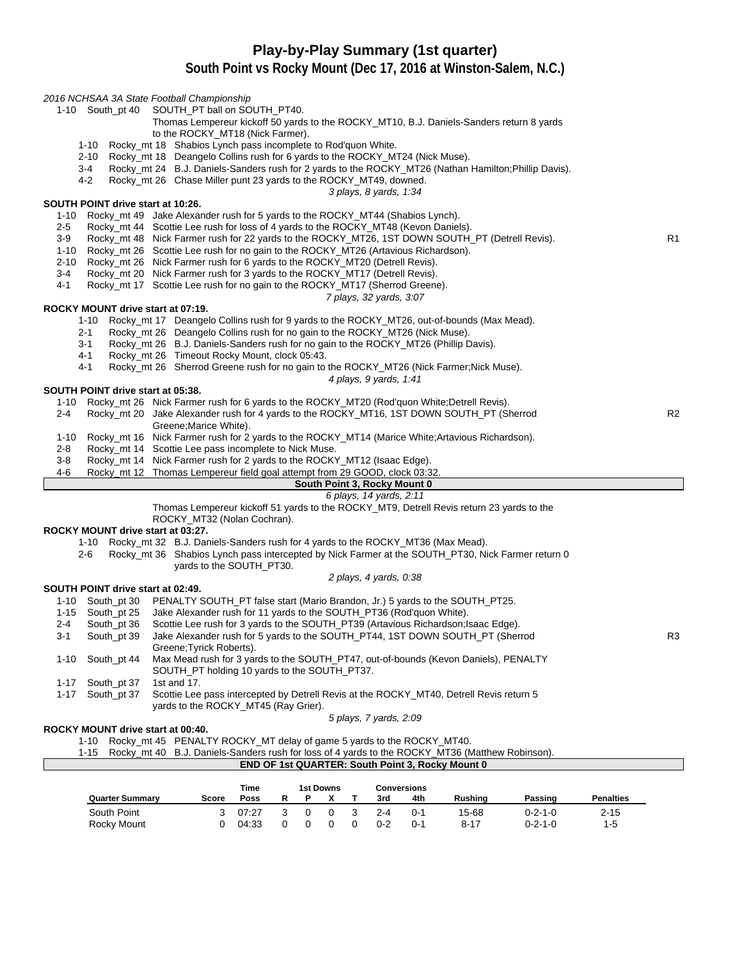### **Play-by-Play Summary (1st quarter)**

### **South Point vs Rocky Mount (Dec 17, 2016 at Winston-Salem, N.C.)**

#### 2016 NCHSAA 3A State Football Championship

- 1-10 South\_pt 40 SOUTH\_PT ball on SOUTH\_PT40.
	- Thomas Lempereur kickoff 50 yards to the ROCKY\_MT10, B.J. Daniels-Sanders return 8 yards to the ROCKY\_MT18 (Nick Farmer).
	- 1-10 Rocky\_mt 18 Shabios Lynch pass incomplete to Rod'quon White.
	- 2-10 Rocky\_mt 18 Deangelo Collins rush for 6 yards to the ROCKY\_MT24 (Nick Muse).
	- 3-4 Rocky\_mt 24 B.J. Daniels-Sanders rush for 2 yards to the ROCKY\_MT26 (Nathan Hamilton;Phillip Davis).<br>4-2 Rocky\_mt 26 Chase Miller punt 23 yards to the ROCKY\_MT49. downed.
		- Rocky\_mt 26 Chase Miller punt 23 yards to the ROCKY\_MT49, downed.

3 plays, 8 yards, 1:34

#### **SOUTH POINT drive start at 10:26.**

- 1-10 Rocky\_mt 49 Jake Alexander rush for 5 yards to the ROCKY\_MT44 (Shabios Lynch).
- 2-5 Rocky\_mt 44 Scottie Lee rush for loss of 4 yards to the ROCKY\_MT48 (Kevon Daniels).
- 3-9 Rocky\_mt 48 Nick Farmer rush for 22 yards to the ROCKY\_MT26, 1ST DOWN SOUTH\_PT (Detrell Revis). R1
- 1-10 Rocky\_mt 26 Scottie Lee rush for no gain to the ROCKY\_MT26 (Artavious Richardson).
- 2-10 Rocky mt 26 Nick Farmer rush for 6 yards to the ROCKY MT20 (Detrell Revis).
- 3-4 Rocky\_mt 20 Nick Farmer rush for 3 yards to the ROCKY\_MT17 (Detrell Revis).<br>4-1 Rocky\_mt 17 Scottie Lee rush for no gain to the ROCKY\_MT17 (Sherrod Green
- Rocky\_mt 17 Scottie Lee rush for no gain to the ROCKY\_MT17 (Sherrod Greene).

#### 7 plays, 32 yards, 3:07

#### **ROCKY MOUNT drive start at 07:19.**

- 1-10 Rocky\_mt 17 Deangelo Collins rush for 9 yards to the ROCKY\_MT26, out-of-bounds (Max Mead).
- 2-1 Rocky\_mt 26 Deangelo Collins rush for no gain to the ROCKY\_MT26 (Nick Muse).
- 3-1 Rocky\_mt 26 B.J. Daniels-Sanders rush for no gain to the ROCKY\_MT26 (Phillip Davis).
- 4-1 Rocky mt 26 Timeout Rocky Mount, clock 05:43.
- 4-1 Rocky\_mt 26 Sherrod Greene rush for no gain to the ROCKY\_MT26 (Nick Farmer;Nick Muse).

4 plays, 9 yards, 1:41

#### **SOUTH POINT drive start at 05:38.**

- 1-10 Rocky\_mt 26 Nick Farmer rush for 6 yards to the ROCKY\_MT20 (Rod'quon White;Detrell Revis).
- 2-4 Rocky\_mt 20 Jake Alexander rush for 4 yards to the ROCKY\_MT16, 1ST DOWN SOUTH\_PT (Sherrod R2 Greene;Marice White).
- 1-10 Rocky\_mt 16 Nick Farmer rush for 2 yards to the ROCKY\_MT14 (Marice White;Artavious Richardson).
- 2-8 Rocky\_mt 14 Scottie Lee pass incomplete to Nick Muse.
- 3-8 Rocky\_mt 14 Nick Farmer rush for 2 yards to the ROCKY\_MT12 (Isaac Edge).
- 4-6 Rocky\_mt 12 Thomas Lempereur field goal attempt from 29 GOOD, clock 03:32.
	- **South Point 3, Rocky Mount 0**

#### 6 plays, 14 yards, 2:11

Thomas Lempereur kickoff 51 yards to the ROCKY\_MT9, Detrell Revis return 23 yards to the ROCKY\_MT32 (Nolan Cochran).

#### **ROCKY MOUNT drive start at 03:27.**

- 1-10 Rocky\_mt 32 B.J. Daniels-Sanders rush for 4 yards to the ROCKY\_MT36 (Max Mead).
	- 2-6 Rocky\_mt 36 Shabios Lynch pass intercepted by Nick Farmer at the SOUTH\_PT30, Nick Farmer return 0 yards to the SOUTH\_PT30.
		- 2 plays, 4 yards, 0:38

#### **SOUTH POINT drive start at 02:49.**

1-10 South\_pt 30 PENALTY SOUTH\_PT false start (Mario Brandon, Jr.) 5 yards to the SOUTH\_PT25. 1-15 South\_pt 25 Jake Alexander rush for 11 yards to the SOUTH\_PT36 (Rod'quon White). 2-4 South\_pt 36 Scottie Lee rush for 3 yards to the SOUTH\_PT39 (Artavious Richardson;Isaac Edge). 3-1 South\_pt 39 Jake Alexander rush for 5 yards to the SOUTH\_PT44, 1ST DOWN SOUTH\_PT (Sherrod R3 Greene;Tyrick Roberts). 1-10 South\_pt 44 Max Mead rush for 3 yards to the SOUTH\_PT47, out-of-bounds (Kevon Daniels), PENALTY SOUTH\_PT holding 10 yards to the SOUTH\_PT37. 1-17 South\_pt 37 1st and 17. 1-17 South pt 37 Scottie Lee pass intercepted by Detrell Revis at the ROCKY MT40, Detrell Revis return 5 yards to the ROCKY\_MT45 (Ray Grier).

5 plays, 7 yards, 2:09

#### **ROCKY MOUNT drive start at 00:40.**

1-10 Rocky\_mt 45 PENALTY ROCKY\_MT delay of game 5 yards to the ROCKY\_MT40.

1-15 Rocky\_mt 40 B.J. Daniels-Sanders rush for loss of 4 yards to the ROCKY\_MT36 (Matthew Robinson).

**END OF 1st QUARTER: South Point 3, Rocky Mount 0**

|                        |       | Time  |  | 1st Downs |         | Conversions |                |                 |                  |
|------------------------|-------|-------|--|-----------|---------|-------------|----------------|-----------------|------------------|
| <b>Quarter Summary</b> | Score | Poss  |  |           | 3rd     | 4th         | <b>Rushing</b> | Passing         | <b>Penalties</b> |
| South Point            |       | 07:27 |  |           | $2 - 4$ | $0 - 1$     | 15-68          | $0 - 2 - 1 - 0$ | 2-15             |
| Rocky Mount            |       | 04:33 |  |           | 0-2     | $0 - 1$     | $8 - 17$       | $0 - 2 - 1 - 0$ | 1-5              |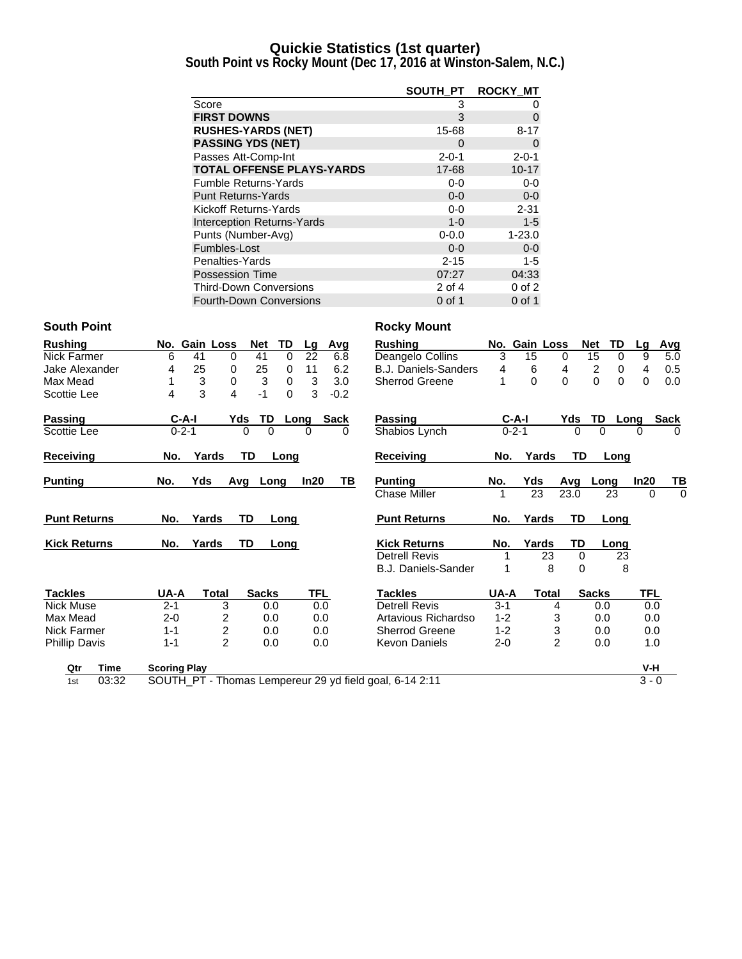### **Quickie Statistics (1st quarter)**

**South Point vs Rocky Mount (Dec 17, 2016 at Winston-Salem, N.C.)**

|                                   | SOUTH PT    | <b>ROCKY MT</b> |
|-----------------------------------|-------------|-----------------|
| Score                             | 3           | 0               |
| <b>FIRST DOWNS</b>                | 3           | 0               |
| <b>RUSHES-YARDS (NET)</b>         | 15-68       | $8 - 17$        |
| <b>PASSING YDS (NET)</b>          | 0           | 0               |
| Passes Att-Comp-Int               | $2 - 0 - 1$ | $2 - 0 - 1$     |
| <b>TOTAL OFFENSE PLAYS-YARDS</b>  | 17-68       | $10 - 17$       |
| <b>Fumble Returns-Yards</b>       | $0-0$       | $0-0$           |
| <b>Punt Returns-Yards</b>         | $0 - 0$     | $0-0$           |
| Kickoff Returns-Yards             | $0 - 0$     | $2 - 31$        |
| <b>Interception Returns-Yards</b> | $1 - 0$     | $1 - 5$         |
| Punts (Number-Avg)                | $0 - 0.0$   | $1 - 23.0$      |
| Fumbles-Lost                      | $0 - 0$     | $0 - 0$         |
| Penalties-Yards                   | $2 - 15$    | $1 - 5$         |
| <b>Possession Time</b>            | 07:27       | 04:33           |
| <b>Third-Down Conversions</b>     | 2 of 4      | $0$ of $2$      |
| <b>Fourth-Down Conversions</b>    | 0 of 1      | 0 of 1          |

### **South Point Rocky Mount**

| <b>Rushing</b>       | No.                 |             | <b>Gain Loss</b> | <b>Net</b>   | TD       | Lg         | Avg         | <b>Rushing</b>                                          |         | No. Gain Loss |                | <b>Net</b> | TD               | Lq       | Avg         |
|----------------------|---------------------|-------------|------------------|--------------|----------|------------|-------------|---------------------------------------------------------|---------|---------------|----------------|------------|------------------|----------|-------------|
| Nick Farmer          | 6                   | 41          | 0                | 41           | $\Omega$ | 22         | 6.8         | Deangelo Collins                                        | 3       | 15            | $\mathbf{0}$   |            | 15<br>$\Omega$   | 9        | 5.0         |
| Jake Alexander       | 4                   | 25          | 0                | 25           | $\Omega$ | 11         | 6.2         | B.J. Daniels-Sanders                                    | 4       | 6             | 4              |            | 2<br>0           | 4        | 0.5         |
| Max Mead             |                     | 3           | $\mathbf 0$      | 3            | 0        | 3          | 3.0         | Sherrod Greene                                          |         | 0             | 0              |            | $\mathbf 0$<br>0 | 0        | 0.0         |
| Scottie Lee          | 4                   | 3           | 4                | $-1$         | $\Omega$ | 3          | $-0.2$      |                                                         |         |               |                |            |                  |          |             |
| <b>Passing</b>       |                     | $C-A-I$     | Yds              | TD           |          | Long       | <b>Sack</b> | <b>Passing</b>                                          |         | $C-A-I$       |                | Yds        | TD               | Long     | <b>Sack</b> |
| Scottie Lee          |                     | $0 - 2 - 1$ |                  | 0<br>0       |          | 0          | 0           | Shabios Lynch                                           |         | $0 - 2 - 1$   |                | 0          | 0                | $\Omega$ | 0           |
| Receiving            | No.                 |             | Yards            | TD           | Long     |            |             | Receiving                                               | No.     |               | Yards          | TD         | Long             |          |             |
| <b>Punting</b>       | No.                 | Yds         | Avg              | Long         |          | ln20       | ΤВ          | <b>Punting</b>                                          | No.     | Yds           |                | Avg        | Long             | ln20     | ТВ          |
|                      |                     |             |                  |              |          |            |             | <b>Chase Miller</b>                                     |         | 23            |                | 23.0       | 23               | 0        | $\Omega$    |
| <b>Punt Returns</b>  | No.                 | Yards       |                  | TD           | Long     |            |             | <b>Punt Returns</b>                                     | No.     | Yards         |                | TD         | Long             |          |             |
| <b>Kick Returns</b>  | No.                 | Yards       |                  | <b>TD</b>    | Long     |            |             | <b>Kick Returns</b>                                     | No.     | Yards         |                | TD         | Long             |          |             |
|                      |                     |             |                  |              |          |            |             | <b>Detrell Revis</b>                                    |         |               | 23             | $\Omega$   | 23               |          |             |
|                      |                     |             |                  |              |          |            |             | B.J. Daniels-Sander                                     |         |               | 8              | $\Omega$   | 8                |          |             |
| <b>Tackles</b>       | UA-A                |             | Total            | <b>Sacks</b> |          | <b>TFL</b> |             | <b>Tackles</b>                                          | UA-A    |               | <b>Total</b>   |            | <b>Sacks</b>     | TFL      |             |
| <b>Nick Muse</b>     | $2 - 1$             |             | 3                | 0.0          |          | 0.0        |             | <b>Detrell Revis</b>                                    | $3 - 1$ |               | 4              |            | 0.0              | 0.0      |             |
| Max Mead             | $2 - 0$             |             | 2                | 0.0          |          |            | 0.0         | Artavious Richardso                                     | $1 - 2$ |               | 3              |            | 0.0              | 0.0      |             |
| Nick Farmer          | $1 - 1$             |             | 2                | 0.0          |          | 0.0        |             | <b>Sherrod Greene</b>                                   | $1 - 2$ |               | 3              |            | 0.0              | 0.0      |             |
| <b>Phillip Davis</b> | $1 - 1$             |             | $\mathfrak{p}$   | 0.0          |          | 0.0        |             | <b>Kevon Daniels</b>                                    | $2 - 0$ |               | $\overline{2}$ |            | 0.0              | 1.0      |             |
| Qtr<br>Time          | <b>Scoring Play</b> |             |                  |              |          |            |             |                                                         |         |               |                |            |                  | V-H      |             |
| 03:32<br>1st         |                     |             |                  |              |          |            |             | SOUTH_PT - Thomas Lempereur 29 yd field goal, 6-14 2:11 |         |               |                |            |                  | $3 - 0$  |             |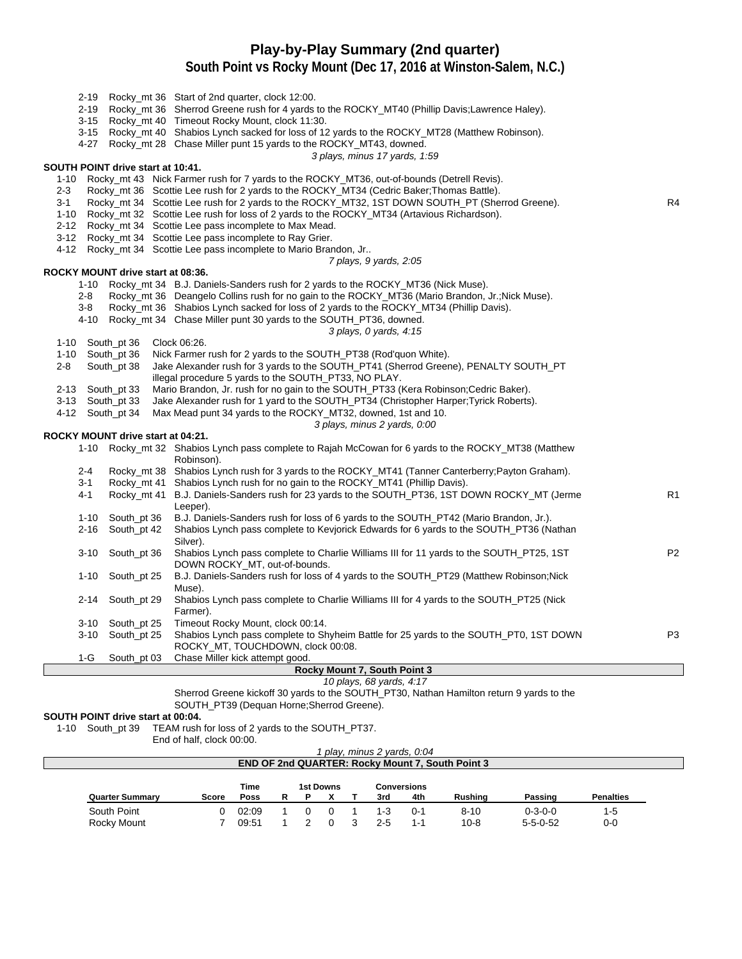## **Play-by-Play Summary (2nd quarter)**

**South Point vs Rocky Mount (Dec 17, 2016 at Winston-Salem, N.C.)**

| 3-15<br>$3 - 15$   |                                   | 2-19 Rocky_mt 36 Start of 2nd quarter, clock 12:00.<br>2-19 Rocky_mt 36 Sherrod Greene rush for 4 yards to the ROCKY_MT40 (Phillip Davis;Lawrence Haley).<br>Rocky_mt 40 Timeout Rocky Mount, clock 11:30.<br>Rocky_mt 40 Shabios Lynch sacked for loss of 12 yards to the ROCKY_MT28 (Matthew Robinson). |                |
|--------------------|-----------------------------------|-----------------------------------------------------------------------------------------------------------------------------------------------------------------------------------------------------------------------------------------------------------------------------------------------------------|----------------|
| 4-27               |                                   | Rocky_mt 28 Chase Miller punt 15 yards to the ROCKY_MT43, downed.                                                                                                                                                                                                                                         |                |
|                    |                                   | 3 plays, minus 17 yards, 1.59                                                                                                                                                                                                                                                                             |                |
|                    | SOUTH POINT drive start at 10:41. |                                                                                                                                                                                                                                                                                                           |                |
| $1 - 10$           |                                   | Rocky_mt 43 Nick Farmer rush for 7 yards to the ROCKY_MT36, out-of-bounds (Detrell Revis).                                                                                                                                                                                                                |                |
| $2 - 3$<br>$3 - 1$ |                                   | Rocky_mt 36 Scottie Lee rush for 2 yards to the ROCKY_MT34 (Cedric Baker; Thomas Battle).<br>Rocky_mt 34 Scottie Lee rush for 2 yards to the ROCKY_MT32, 1ST DOWN SOUTH_PT (Sherrod Greene).                                                                                                              | R <sub>4</sub> |
| 1-10               |                                   | Rocky_mt 32 Scottie Lee rush for loss of 2 yards to the ROCKY_MT34 (Artavious Richardson).                                                                                                                                                                                                                |                |
| $2 - 12$           |                                   | Rocky_mt 34 Scottie Lee pass incomplete to Max Mead.                                                                                                                                                                                                                                                      |                |
| $3 - 12$           |                                   | Rocky_mt 34 Scottie Lee pass incomplete to Ray Grier.                                                                                                                                                                                                                                                     |                |
|                    |                                   | 4-12 Rocky_mt 34 Scottie Lee pass incomplete to Mario Brandon, Jr                                                                                                                                                                                                                                         |                |
|                    |                                   | 7 plays, 9 yards, 2:05                                                                                                                                                                                                                                                                                    |                |
|                    | ROCKY MOUNT drive start at 08:36. |                                                                                                                                                                                                                                                                                                           |                |
|                    |                                   | 1-10 Rocky_mt 34 B.J. Daniels-Sanders rush for 2 yards to the ROCKY_MT36 (Nick Muse).                                                                                                                                                                                                                     |                |
| $2 - 8$<br>$3-8$   |                                   | Rocky_mt 36 Deangelo Collins rush for no gain to the ROCKY_MT36 (Mario Brandon, Jr.; Nick Muse).                                                                                                                                                                                                          |                |
| 4-10               |                                   | Rocky_mt 36 Shabios Lynch sacked for loss of 2 yards to the ROCKY_MT34 (Phillip Davis).<br>Rocky_mt 34 Chase Miller punt 30 yards to the SOUTH_PT36, downed.                                                                                                                                              |                |
|                    |                                   | 3 plays, 0 yards, 4:15                                                                                                                                                                                                                                                                                    |                |
|                    | 1-10 South_pt 36                  | Clock 06:26.                                                                                                                                                                                                                                                                                              |                |
| $1 - 10$           | South_pt 36                       | Nick Farmer rush for 2 yards to the SOUTH_PT38 (Rod'quon White).                                                                                                                                                                                                                                          |                |
| $2 - 8$            | South_pt 38                       | Jake Alexander rush for 3 yards to the SOUTH PT41 (Sherrod Greene), PENALTY SOUTH PT                                                                                                                                                                                                                      |                |
|                    |                                   | illegal procedure 5 yards to the SOUTH_PT33, NO PLAY.                                                                                                                                                                                                                                                     |                |
|                    | 2-13 South_pt 33                  | Mario Brandon, Jr. rush for no gain to the SOUTH_PT33 (Kera Robinson; Cedric Baker).                                                                                                                                                                                                                      |                |
|                    | 3-13 South_pt 33                  | Jake Alexander rush for 1 yard to the SOUTH_PT34 (Christopher Harper; Tyrick Roberts).                                                                                                                                                                                                                    |                |
|                    | 4-12 South_pt 34                  | Max Mead punt 34 yards to the ROCKY_MT32, downed, 1st and 10.<br>3 plays, minus 2 yards, 0:00                                                                                                                                                                                                             |                |
|                    | ROCKY MOUNT drive start at 04:21. |                                                                                                                                                                                                                                                                                                           |                |
|                    |                                   | 1-10 Rocky_mt 32 Shabios Lynch pass complete to Rajah McCowan for 6 yards to the ROCKY_MT38 (Matthew<br>Robinson).                                                                                                                                                                                        |                |
| $2 - 4$            |                                   | Rocky_mt 38 Shabios Lynch rush for 3 yards to the ROCKY_MT41 (Tanner Canterberry; Payton Graham).                                                                                                                                                                                                         |                |
| $3 - 1$            |                                   | Rocky_mt 41 Shabios Lynch rush for no gain to the ROCKY_MT41 (Phillip Davis).                                                                                                                                                                                                                             |                |
| 4-1                |                                   | Rocky_mt 41 B.J. Daniels-Sanders rush for 23 yards to the SOUTH_PT36, 1ST DOWN ROCKY_MT (Jerme<br>Leeper).                                                                                                                                                                                                | R <sub>1</sub> |
| $1 - 10$           | South_pt 36                       | B.J. Daniels-Sanders rush for loss of 6 yards to the SOUTH_PT42 (Mario Brandon, Jr.).                                                                                                                                                                                                                     |                |
| $2 - 16$           | South_pt 42                       | Shabios Lynch pass complete to Kevjorick Edwards for 6 yards to the SOUTH_PT36 (Nathan                                                                                                                                                                                                                    |                |
|                    |                                   | Silver).                                                                                                                                                                                                                                                                                                  |                |
| $3 - 10$           | South_pt 36                       | Shabios Lynch pass complete to Charlie Williams III for 11 yards to the SOUTH_PT25, 1ST<br>DOWN ROCKY_MT, out-of-bounds.                                                                                                                                                                                  | P <sub>2</sub> |
| $1 - 10$           | South_pt 25                       | B.J. Daniels-Sanders rush for loss of 4 yards to the SOUTH_PT29 (Matthew Robinson; Nick                                                                                                                                                                                                                   |                |
|                    |                                   | Muse).                                                                                                                                                                                                                                                                                                    |                |
|                    | 2-14 South_pt 29                  | Shabios Lynch pass complete to Charlie Williams III for 4 yards to the SOUTH_PT25 (Nick<br>Farmer).                                                                                                                                                                                                       |                |
| $3 - 10$           | South_pt 25                       | Timeout Rocky Mount, clock 00:14.                                                                                                                                                                                                                                                                         |                |
| $3 - 10$           | South_pt 25                       | Shabios Lynch pass complete to Shyheim Battle for 25 yards to the SOUTH_PT0, 1ST DOWN<br>ROCKY_MT, TOUCHDOWN, clock 00:08.                                                                                                                                                                                | P <sub>3</sub> |
| $1-G$              | South_pt 03                       | Chase Miller kick attempt good.                                                                                                                                                                                                                                                                           |                |
|                    |                                   | Rocky Mount 7, South Point 3                                                                                                                                                                                                                                                                              |                |
|                    |                                   | 10 plays, 68 yards, 4:17<br>Sherrod Greene kickoff 30 yards to the SOUTH_PT30, Nathan Hamilton return 9 yards to the                                                                                                                                                                                      |                |
|                    |                                   | SOUTH_PT39 (Dequan Horne; Sherrod Greene).                                                                                                                                                                                                                                                                |                |

#### **SOUTH POINT drive start at 00:04.**

1-10 South\_pt 39 TEAM rush for loss of 2 yards to the SOUTH\_PT37.

End of half, clock 00:00.

| play, minus 2 yards, 0:04                                                                                      |       |       |   |  |  |  |         |         |          |                 |         |
|----------------------------------------------------------------------------------------------------------------|-------|-------|---|--|--|--|---------|---------|----------|-----------------|---------|
| <b>END OF 2nd QUARTER: Rocky Mount 7, South Point 3</b>                                                        |       |       |   |  |  |  |         |         |          |                 |         |
| <b>Time</b><br><b>1st Downs</b><br><b>Conversions</b><br><b>Penalties</b><br>4th<br>Rushina<br>Passing<br>Poss |       |       |   |  |  |  |         |         |          |                 |         |
| <b>Quarter Summary</b>                                                                                         | Score |       | R |  |  |  | 3rd     |         |          |                 |         |
| South Point                                                                                                    |       | 02:09 |   |  |  |  | $1 - 3$ | $0 - 1$ | $8 - 10$ | $0 - 3 - 0 - 0$ | $1 - 5$ |
|                                                                                                                |       |       |   |  |  |  |         |         |          |                 |         |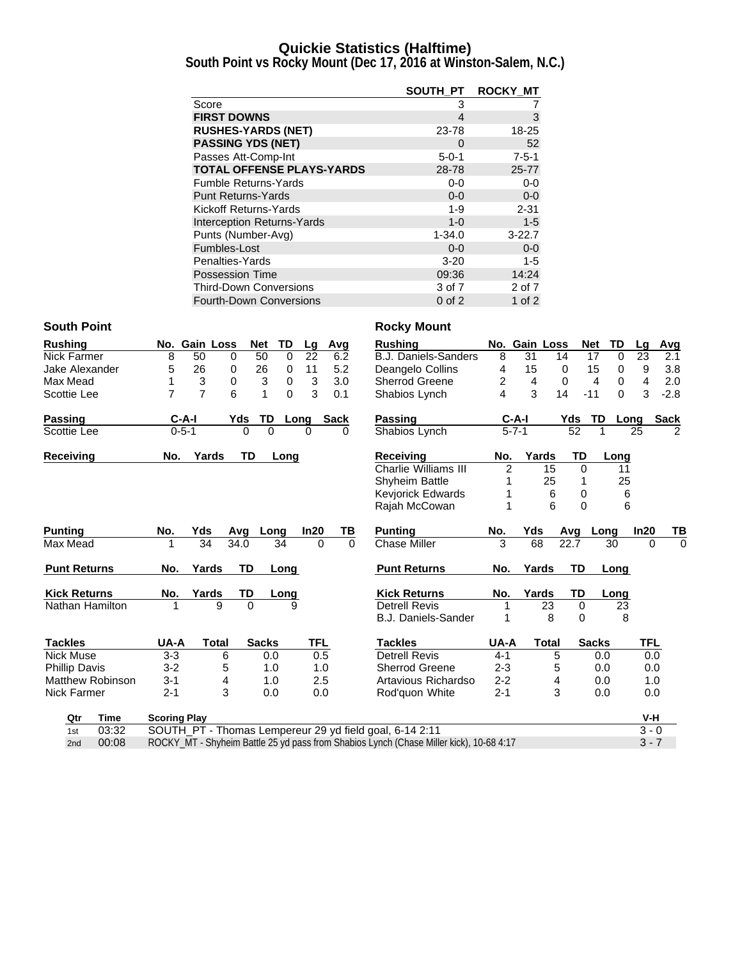### **Quickie Statistics (Halftime)**

**South Point vs Rocky Mount (Dec 17, 2016 at Winston-Salem, N.C.)**

|                                   | SOUTH PT    | <b>ROCKY MT</b> |
|-----------------------------------|-------------|-----------------|
| Score                             | 3           |                 |
| <b>FIRST DOWNS</b>                | 4           | 3               |
| <b>RUSHES-YARDS (NET)</b>         | 23-78       | 18-25           |
| <b>PASSING YDS (NET)</b>          | 0           | 52              |
| Passes Att-Comp-Int               | $5 - 0 - 1$ | $7 - 5 - 1$     |
| <b>TOTAL OFFENSE PLAYS-YARDS</b>  | 28-78       | $25 - 77$       |
| <b>Fumble Returns-Yards</b>       | $0-0$       | $0-0$           |
| <b>Punt Returns-Yards</b>         | $0 - 0$     | $0-0$           |
| Kickoff Returns-Yards             | $1 - 9$     | $2 - 31$        |
| <b>Interception Returns-Yards</b> | $1 - 0$     | $1 - 5$         |
| Punts (Number-Avg)                | $1 - 34.0$  | $3 - 22.7$      |
| Fumbles-Lost                      | $0-0$       | $0 - 0$         |
| Penalties-Yards                   | $3 - 20$    | $1 - 5$         |
| <b>Possession Time</b>            | 09:36       | 14:24           |
| <b>Third-Down Conversions</b>     | 3 of 7      | 2 of 7          |
| <b>Fourth-Down Conversions</b>    | $0$ of $2$  | 1 of $2$        |

### **South Point Rocky Mount**

| <b>Rushing</b>       |                         |                                                                                                    |                           | No. Gain Loss | <b>Net</b>   | TD          |          | Lg         | Avg         | <b>Rushing</b>                                          |                | No. Gain Loss |              | Net          | TD         | La         | <b>Avg</b>  |
|----------------------|-------------------------|----------------------------------------------------------------------------------------------------|---------------------------|---------------|--------------|-------------|----------|------------|-------------|---------------------------------------------------------|----------------|---------------|--------------|--------------|------------|------------|-------------|
| Nick Farmer          |                         | 8                                                                                                  | 50                        | 0             | 50           |             | $\Omega$ | 22         | 6.2         | <b>B.J. Daniels-Sanders</b>                             | 8              | 31            | 14           | 17           | $\Omega$   | 23         | 2.1         |
| Jake Alexander       |                         | 5                                                                                                  | 26                        | 0             | 26           |             | 0        | 11         | 5.2         | Deangelo Collins                                        | 4              | 15            | 0            | 15           | 0          | 9          | 3.8         |
| Max Mead             |                         | 1                                                                                                  | $\ensuremath{\mathsf{3}}$ | 0             | 3            |             | 0        | 3          | 3.0         | <b>Sherrod Greene</b>                                   | 2              | 4             | 0            | 4            | 0          | 4          | 2.0         |
| Scottie Lee          |                         | $\overline{7}$                                                                                     | $\overline{7}$            | 6             | 1            |             | $\Omega$ | 3          | 0.1         | Shabios Lynch                                           | 4              | 3             | 14           | $-11$        | $\Omega$   | 3          | $-2.8$      |
| <b>Passing</b>       |                         |                                                                                                    | C-A-I                     |               | Yds          | TD          | Long     |            | <b>Sack</b> | <b>Passing</b>                                          |                | $C-A-I$       |              | Yds          | TD<br>Long |            | <b>Sack</b> |
| Scottie Lee          |                         |                                                                                                    | $0 - 5 - 1$               |               | $\Omega$     | $\mathbf 0$ | 0        |            | 0           | Shabios Lynch                                           |                | $5 - 7 - 1$   |              | 52           |            | 25         | 2           |
| Receiving            |                         | No.                                                                                                |                           | Yards         | <b>TD</b>    | Long        |          |            |             | <b>Receiving</b>                                        | No.            | Yards         |              | TD           | Long       |            |             |
|                      |                         |                                                                                                    |                           |               |              |             |          |            |             | Charlie Williams III                                    | $\overline{2}$ |               | 15           | $\Omega$     | 11         |            |             |
|                      |                         |                                                                                                    |                           |               |              |             |          |            |             | <b>Shyheim Battle</b>                                   |                |               | 25           |              | 25         |            |             |
|                      |                         |                                                                                                    |                           |               |              |             |          |            |             | Kevjorick Edwards                                       |                |               | 6            | 0            | 6          |            |             |
|                      |                         |                                                                                                    |                           |               |              |             |          |            |             | Rajah McCowan                                           |                |               | 6            | $\Omega$     | 6          |            |             |
| <b>Punting</b>       |                         | No.                                                                                                | Yds                       |               | Avg          | Long        |          | In20       | TВ          | <b>Punting</b>                                          | No.            | Yds           | Avg          |              | Long       | In20       | TВ          |
| Max Mead             |                         |                                                                                                    | 34                        |               | 34.0         | 34          |          | $\Omega$   | $\Omega$    | <b>Chase Miller</b>                                     | 3              | 68            | 22.7         |              | 30         | $\Omega$   | $\Omega$    |
| <b>Punt Returns</b>  |                         | No.                                                                                                | Yards                     |               | <b>TD</b>    | Long        |          |            |             | <b>Punt Returns</b>                                     | No.            | Yards         |              | <b>TD</b>    | Long       |            |             |
| <b>Kick Returns</b>  |                         | No.                                                                                                | Yards                     |               | TD           | Long        |          |            |             | <b>Kick Returns</b>                                     | No.            | Yards         |              | <b>TD</b>    | Long       |            |             |
| Nathan Hamilton      |                         |                                                                                                    |                           | 9             | $\Omega$     |             | 9        |            |             | <b>Detrell Revis</b>                                    |                |               | 23           | $\mathbf 0$  | 23         |            |             |
|                      |                         |                                                                                                    |                           |               |              |             |          |            |             | B.J. Daniels-Sander                                     |                |               | 8            | 0            | 8          |            |             |
| <b>Tackles</b>       |                         | UA-A                                                                                               |                           | <b>Total</b>  | <b>Sacks</b> |             |          | <b>TFL</b> |             | <b>Tackles</b>                                          | UA-A           |               | <b>Total</b> | <b>Sacks</b> |            | <b>TFL</b> |             |
| <b>Nick Muse</b>     |                         | $3 - 3$                                                                                            |                           | 6             |              | 0.0         |          | 0.5        |             | <b>Detrell Revis</b>                                    | $4 - 1$        |               | 5            |              | 0.0        | 0.0        |             |
| <b>Phillip Davis</b> |                         | $3 - 2$                                                                                            |                           | 5             |              | 1.0         |          | 1.0        |             | <b>Sherrod Greene</b>                                   | $2 - 3$        |               | 5            |              | 0.0        | 0.0        |             |
|                      | <b>Matthew Robinson</b> | $3 - 1$                                                                                            |                           | 4             |              | 1.0         |          | 2.5        |             | Artavious Richardso                                     | $2 - 2$        |               | 4            |              | 0.0        | 1.0        |             |
| <b>Nick Farmer</b>   |                         | $2 - 1$                                                                                            |                           | 3             |              | 0.0         |          | 0.0        |             | Rod'quon White                                          | $2 - 1$        |               | 3            |              | 0.0        | 0.0        |             |
| Qtr                  | Time                    | <b>Scoring Play</b>                                                                                |                           |               |              |             |          |            |             |                                                         |                |               |              |              |            | V-H        |             |
| 1st                  | 03:32                   |                                                                                                    |                           |               |              |             |          |            |             | SOUTH_PT - Thomas Lempereur 29 yd field goal, 6-14 2:11 |                |               |              |              |            | $3 - 0$    |             |
| 2nd                  | 00:08                   | $3 - 7$<br>ROCKY MT - Shyheim Battle 25 yd pass from Shabios Lynch (Chase Miller kick), 10-68 4:17 |                           |               |              |             |          |            |             |                                                         |                |               |              |              |            |            |             |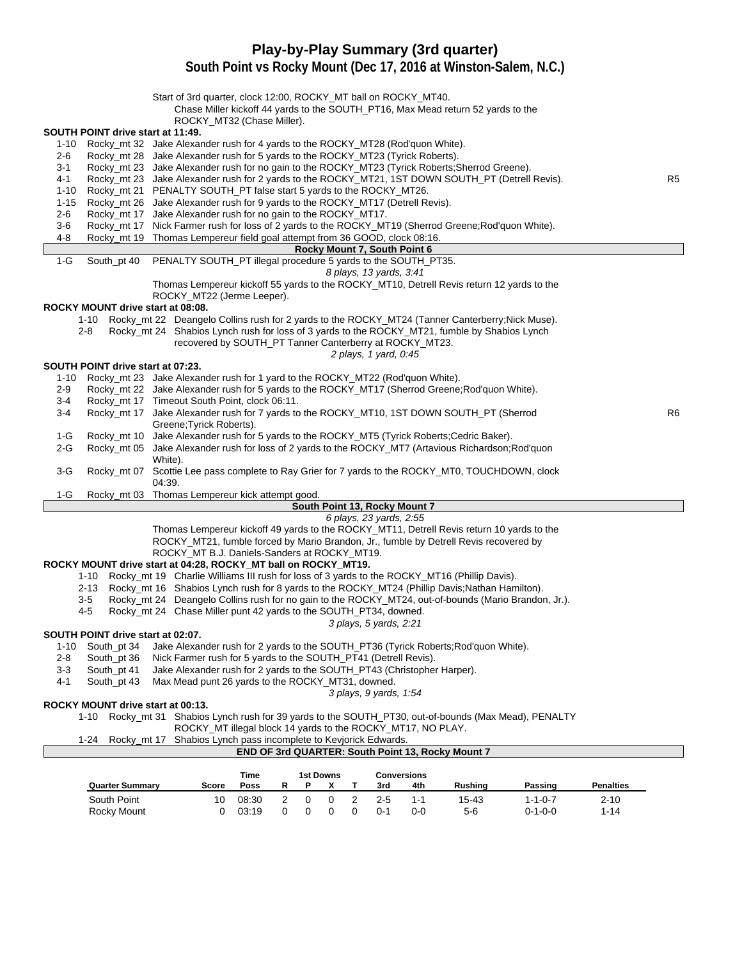# **Play-by-Play Summary (3rd quarter)**

**South Point vs Rocky Mount (Dec 17, 2016 at Winston-Salem, N.C.)**

|          |                                   | Start of 3rd quarter, clock 12:00, ROCKY_MT ball on ROCKY_MT40.<br>Chase Miller kickoff 44 yards to the SOUTH_PT16, Max Mead return 52 yards to the |                                                          |                               |   |                         |                    |         |         |                  |                |
|----------|-----------------------------------|-----------------------------------------------------------------------------------------------------------------------------------------------------|----------------------------------------------------------|-------------------------------|---|-------------------------|--------------------|---------|---------|------------------|----------------|
|          |                                   | ROCKY_MT32 (Chase Miller).                                                                                                                          |                                                          |                               |   |                         |                    |         |         |                  |                |
|          | SOUTH POINT drive start at 11:49. |                                                                                                                                                     |                                                          |                               |   |                         |                    |         |         |                  |                |
| 1-10     |                                   | Rocky_mt 32 Jake Alexander rush for 4 yards to the ROCKY_MT28 (Rod'quon White).                                                                     |                                                          |                               |   |                         |                    |         |         |                  |                |
| 2-6      |                                   | Rocky_mt 28 Jake Alexander rush for 5 yards to the ROCKY_MT23 (Tyrick Roberts).                                                                     |                                                          |                               |   |                         |                    |         |         |                  |                |
| 3-1      |                                   | Rocky_mt 23 Jake Alexander rush for no gain to the ROCKY_MT23 (Tyrick Roberts; Sherrod Greene).                                                     |                                                          |                               |   |                         |                    |         |         |                  |                |
| 4-1      |                                   | Rocky_mt 23 Jake Alexander rush for 2 yards to the ROCKY_MT21, 1ST DOWN SOUTH_PT (Detrell Revis).                                                   |                                                          |                               |   |                         |                    |         |         |                  | R <sub>5</sub> |
| 1-10     |                                   | Rocky_mt 21 PENALTY SOUTH_PT false start 5 yards to the ROCKY_MT26.                                                                                 |                                                          |                               |   |                         |                    |         |         |                  |                |
| $1 - 15$ |                                   | Rocky_mt 26 Jake Alexander rush for 9 yards to the ROCKY_MT17 (Detrell Revis).                                                                      |                                                          |                               |   |                         |                    |         |         |                  |                |
| 2-6      |                                   | Rocky_mt 17 Jake Alexander rush for no gain to the ROCKY_MT17.                                                                                      |                                                          |                               |   |                         |                    |         |         |                  |                |
| $3-6$    |                                   | Rocky_mt 17 Nick Farmer rush for loss of 2 yards to the ROCKY_MT19 (Sherrod Greene; Rod'quon White).                                                |                                                          |                               |   |                         |                    |         |         |                  |                |
| 4-8      |                                   | Rocky_mt 19 Thomas Lempereur field goal attempt from 36 GOOD, clock 08:16.                                                                          |                                                          |                               |   |                         |                    |         |         |                  |                |
|          |                                   |                                                                                                                                                     |                                                          | Rocky Mount 7, South Point 6  |   |                         |                    |         |         |                  |                |
| $1-G$    |                                   | South_pt 40 PENALTY SOUTH_PT illegal procedure 5 yards to the SOUTH_PT35.                                                                           |                                                          |                               |   |                         |                    |         |         |                  |                |
|          |                                   |                                                                                                                                                     |                                                          |                               |   | 8 plays, 13 yards, 3:41 |                    |         |         |                  |                |
|          |                                   | Thomas Lempereur kickoff 55 yards to the ROCKY_MT10, Detrell Revis return 12 yards to the                                                           |                                                          |                               |   |                         |                    |         |         |                  |                |
|          |                                   | ROCKY_MT22 (Jerme Leeper).                                                                                                                          |                                                          |                               |   |                         |                    |         |         |                  |                |
|          | ROCKY MOUNT drive start at 08:08. |                                                                                                                                                     |                                                          |                               |   |                         |                    |         |         |                  |                |
|          |                                   | 1-10 Rocky_mt 22 Deangelo Collins rush for 2 yards to the ROCKY_MT24 (Tanner Canterberry; Nick Muse).                                               |                                                          |                               |   |                         |                    |         |         |                  |                |
|          | 2-8                               | Rocky_mt 24 Shabios Lynch rush for loss of 3 yards to the ROCKY_MT21, fumble by Shabios Lynch                                                       |                                                          |                               |   |                         |                    |         |         |                  |                |
|          |                                   | recovered by SOUTH_PT Tanner Canterberry at ROCKY_MT23.                                                                                             |                                                          |                               |   |                         |                    |         |         |                  |                |
|          |                                   |                                                                                                                                                     |                                                          |                               |   | 2 plays, 1 yard, 0.45   |                    |         |         |                  |                |
|          | SOUTH POINT drive start at 07:23. |                                                                                                                                                     |                                                          |                               |   |                         |                    |         |         |                  |                |
| 1-10     |                                   | Rocky_mt 23 Jake Alexander rush for 1 yard to the ROCKY_MT22 (Rod'quon White).                                                                      |                                                          |                               |   |                         |                    |         |         |                  |                |
| 2-9      |                                   | Rocky_mt 22 Jake Alexander rush for 5 yards to the ROCKY_MT17 (Sherrod Greene; Rod'quon White).                                                     |                                                          |                               |   |                         |                    |         |         |                  |                |
| 3-4      |                                   | Rocky_mt 17 Timeout South Point, clock 06:11.                                                                                                       |                                                          |                               |   |                         |                    |         |         |                  |                |
| 3-4      |                                   | Rocky_mt 17 Jake Alexander rush for 7 yards to the ROCKY_MT10, 1ST DOWN SOUTH_PT (Sherrod                                                           |                                                          |                               |   |                         |                    |         |         |                  | R6             |
|          |                                   | Greene; Tyrick Roberts).                                                                                                                            |                                                          |                               |   |                         |                    |         |         |                  |                |
| 1-G      |                                   | Rocky_mt 10 Jake Alexander rush for 5 yards to the ROCKY_MT5 (Tyrick Roberts;Cedric Baker).                                                         |                                                          |                               |   |                         |                    |         |         |                  |                |
| 2-G      |                                   | Rocky_mt 05 Jake Alexander rush for loss of 2 yards to the ROCKY_MT7 (Artavious Richardson; Rod'quon                                                |                                                          |                               |   |                         |                    |         |         |                  |                |
|          |                                   | White).                                                                                                                                             |                                                          |                               |   |                         |                    |         |         |                  |                |
| 3-G      |                                   | Rocky_mt 07 Scottie Lee pass complete to Ray Grier for 7 yards to the ROCKY_MT0, TOUCHDOWN, clock<br>04:39.                                         |                                                          |                               |   |                         |                    |         |         |                  |                |
| 1-G      |                                   | Rocky_mt 03 Thomas Lempereur kick attempt good.                                                                                                     |                                                          |                               |   |                         |                    |         |         |                  |                |
|          |                                   |                                                                                                                                                     |                                                          | South Point 13, Rocky Mount 7 |   |                         |                    |         |         |                  |                |
|          |                                   |                                                                                                                                                     |                                                          |                               |   | 6 plays, 23 yards, 2:55 |                    |         |         |                  |                |
|          |                                   | Thomas Lempereur kickoff 49 yards to the ROCKY_MT11, Detrell Revis return 10 yards to the                                                           |                                                          |                               |   |                         |                    |         |         |                  |                |
|          |                                   | ROCKY_MT21, fumble forced by Mario Brandon, Jr., fumble by Detrell Revis recovered by                                                               |                                                          |                               |   |                         |                    |         |         |                  |                |
|          |                                   | ROCKY_MT B.J. Daniels-Sanders at ROCKY_MT19.                                                                                                        |                                                          |                               |   |                         |                    |         |         |                  |                |
|          |                                   | ROCKY MOUNT drive start at 04:28, ROCKY_MT ball on ROCKY_MT19.                                                                                      |                                                          |                               |   |                         |                    |         |         |                  |                |
|          |                                   | 1-10 Rocky_mt 19 Charlie Williams III rush for loss of 3 yards to the ROCKY_MT16 (Phillip Davis).                                                   |                                                          |                               |   |                         |                    |         |         |                  |                |
|          |                                   | 2-13 Rocky_mt 16 Shabios Lynch rush for 8 yards to the ROCKY_MT24 (Phillip Davis; Nathan Hamilton).                                                 |                                                          |                               |   |                         |                    |         |         |                  |                |
|          | $3-5$                             | Rocky_mt 24 Deangelo Collins rush for no gain to the ROCKY_MT24, out-of-bounds (Mario Brandon, Jr.).                                                |                                                          |                               |   |                         |                    |         |         |                  |                |
|          | 4-5                               | Rocky_mt 24 Chase Miller punt 42 yards to the SOUTH_PT34, downed.                                                                                   |                                                          |                               |   |                         |                    |         |         |                  |                |
|          |                                   |                                                                                                                                                     |                                                          |                               |   | 3 plays, 5 yards, 2:21  |                    |         |         |                  |                |
|          | SOUTH POINT drive start at 02:07. |                                                                                                                                                     |                                                          |                               |   |                         |                    |         |         |                  |                |
| 1-10     | South_pt 34                       | Jake Alexander rush for 2 yards to the SOUTH_PT36 (Tyrick Roberts; Rod'quon White).                                                                 |                                                          |                               |   |                         |                    |         |         |                  |                |
| 2-8      | South_pt 36                       | Nick Farmer rush for 5 yards to the SOUTH_PT41 (Detrell Revis).                                                                                     |                                                          |                               |   |                         |                    |         |         |                  |                |
| 3-3      | South pt 41                       | Jake Alexander rush for 2 yards to the SOUTH_PT43 (Christopher Harper).                                                                             |                                                          |                               |   |                         |                    |         |         |                  |                |
| 4-1      | South_pt 43                       | Max Mead punt 26 yards to the ROCKY_MT31, downed.                                                                                                   |                                                          |                               |   |                         |                    |         |         |                  |                |
|          |                                   |                                                                                                                                                     |                                                          |                               |   | 3 plays, 9 yards, 1:54  |                    |         |         |                  |                |
|          | ROCKY MOUNT drive start at 00:13. |                                                                                                                                                     |                                                          |                               |   |                         |                    |         |         |                  |                |
|          |                                   | 1-10 Rocky_mt 31 Shabios Lynch rush for 39 yards to the SOUTH_PT30, out-of-bounds (Max Mead), PENALTY                                               |                                                          |                               |   |                         |                    |         |         |                  |                |
|          |                                   | ROCKY_MT illegal block 14 yards to the ROCKY_MT17, NO PLAY.                                                                                         |                                                          |                               |   |                         |                    |         |         |                  |                |
|          | $1-24$<br>Rocky mt 17             | Shabios Lynch pass incomplete to Kevjorick Edwards.                                                                                                 |                                                          |                               |   |                         |                    |         |         |                  |                |
|          |                                   |                                                                                                                                                     | <b>END OF 3rd QUARTER: South Point 13, Rocky Mount 7</b> |                               |   |                         |                    |         |         |                  |                |
|          |                                   |                                                                                                                                                     |                                                          |                               |   |                         |                    |         |         |                  |                |
|          |                                   |                                                                                                                                                     | Time                                                     | <b>1st Downs</b>              |   |                         | <b>Conversions</b> |         |         |                  |                |
|          | <b>Quarter Summary</b>            | Score                                                                                                                                               | Poss<br>R                                                | Ρ<br>x                        | Т | 3rd                     | 4th                | Rushing | Passing | <b>Penalties</b> |                |

South Point 10 08:30 2 0 0 2 2-5 1-1 15-43 1-1-0-7 2-10 Rocky Mount 0 03:19 0 0 0 0 0-1 0-0 5-6 0-1-0-0 1-14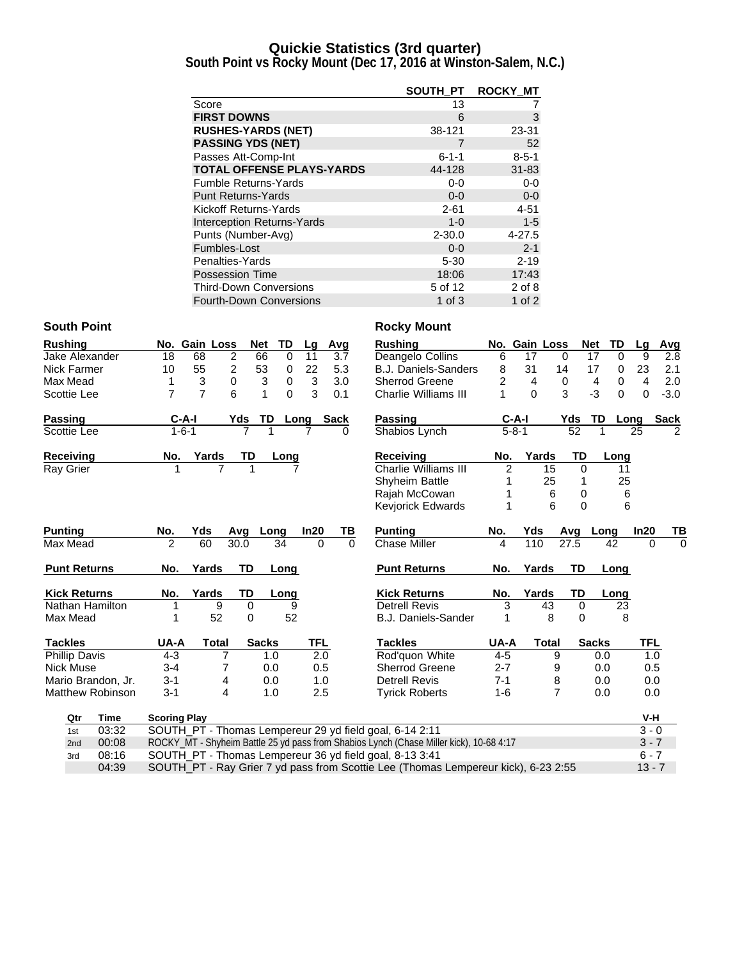### **Quickie Statistics (3rd quarter)**

**South Point vs Rocky Mount (Dec 17, 2016 at Winston-Salem, N.C.)**

|                                   | SOUTH PT    | <b>ROCKY MT</b> |
|-----------------------------------|-------------|-----------------|
| Score                             | 13          |                 |
| <b>FIRST DOWNS</b>                | 6           | 3               |
| <b>RUSHES-YARDS (NET)</b>         | 38-121      | 23-31           |
| <b>PASSING YDS (NET)</b>          |             | 52              |
| Passes Att-Comp-Int               | $6 - 1 - 1$ | $8 - 5 - 1$     |
| <b>TOTAL OFFENSE PLAYS-YARDS</b>  | 44-128      | $31 - 83$       |
| <b>Fumble Returns-Yards</b>       | $0-0$       | $0-0$           |
| <b>Punt Returns-Yards</b>         | $0 - 0$     | $0-0$           |
| Kickoff Returns-Yards             | $2 - 61$    | $4 - 51$        |
| <b>Interception Returns-Yards</b> | $1 - 0$     | $1 - 5$         |
| Punts (Number-Avg)                | $2 - 30.0$  | $4 - 27.5$      |
| Fumbles-Lost                      | $0 - 0$     | $2 - 1$         |
| Penalties-Yards                   | $5 - 30$    | $2 - 19$        |
| Possession Time                   | 18:06       | 17:43           |
| <b>Third-Down Conversions</b>     | 5 of 12     | 2 of 8          |
| <b>Fourth-Down Conversions</b>    | 1 of $3$    | 1 of $2$        |

### **South Point Rocky Mount**

| <b>Rushing</b>          |             |                                                         | No. Gain Loss  | <b>Net</b>           | TD               | Lq         |             | Avg          | <b>Rushing</b>                                                                          |                | No. Gain Loss |                | <b>Net</b>   | TD             | Lq       | Avg           |
|-------------------------|-------------|---------------------------------------------------------|----------------|----------------------|------------------|------------|-------------|--------------|-----------------------------------------------------------------------------------------|----------------|---------------|----------------|--------------|----------------|----------|---------------|
| Jake Alexander          |             | 18                                                      | 68             | $\overline{2}$<br>66 | 0                | 11         |             | 3.7          | Deangelo Collins                                                                        | 6              | 17            | $\Omega$       | 17           | $\Omega$       | 9        | 2.8           |
| Nick Farmer             |             | 10                                                      | 55             | 2<br>53              | 0                | 22         |             | 5.3          | <b>B.J. Daniels-Sanders</b>                                                             | 8              | 31            | 14             | 17           | 0              | 23       | 2.1           |
| Max Mead                |             | 1                                                       | 3              | $\Omega$             | 3<br>$\mathbf 0$ | 3          |             | 3.0          | <b>Sherrod Greene</b>                                                                   | 2              | 4             | $\mathbf 0$    | 4            | 0              | 4        | 2.0           |
| Scottie Lee             |             | $\overline{7}$                                          | $\overline{7}$ | 6                    | 1<br>$\Omega$    | 3          |             | 0.1          | <b>Charlie Williams III</b>                                                             |                | $\Omega$      | 3              | $-3$         | $\overline{0}$ | 0        | $-3.0$        |
| Passing                 |             | $C-A-I$                                                 |                | Yds                  | TD               | Long       | <b>Sack</b> |              | Passing                                                                                 |                | $C-A-I$       | Yds            | TD           | Long           |          | <b>Sack</b>   |
| Scottie Lee             |             | $1 - 6 - 1$                                             |                | 7                    |                  | 7          |             | <sup>0</sup> | Shabios Lynch                                                                           |                | $5 - 8 - 1$   |                | 52           | 1              | 25       | $\mathcal{P}$ |
| Receiving               |             | No.                                                     | Yards          | TD                   | Long             |            |             |              | <b>Receiving</b>                                                                        | No.            | Yards         |                | <b>TD</b>    | Long           |          |               |
| <b>Ray Grier</b>        |             |                                                         | $\overline{7}$ |                      |                  |            |             |              | <b>Charlie Williams III</b>                                                             | $\overline{c}$ |               | 15             | $\Omega$     | 11             |          |               |
|                         |             |                                                         |                |                      |                  |            |             |              | <b>Shyheim Battle</b>                                                                   |                |               | 25             |              | 25             |          |               |
|                         |             |                                                         |                |                      |                  |            |             |              | Rajah McCowan                                                                           |                |               | 6              | 0            | 6              |          |               |
|                         |             |                                                         |                |                      |                  |            |             |              | <b>Keviorick Edwards</b>                                                                | 1              |               | 6              | $\Omega$     | 6              |          |               |
| <b>Punting</b>          |             | No.                                                     | Yds            | Avg                  | Long             | In20       |             | ΤВ           | <b>Punting</b>                                                                          | No.            | Yds           | Avg            |              | Long           | In20     | ΤВ            |
| Max Mead                |             | 2                                                       | 60             | 30.0                 | 34               |            | $\Omega$    | $\Omega$     | <b>Chase Miller</b>                                                                     | 4              | 110           | 27.5           |              | 42             | $\Omega$ | $\Omega$      |
| <b>Punt Returns</b>     |             | No.                                                     | Yards          | <b>TD</b>            | Long             |            |             |              | <b>Punt Returns</b>                                                                     | No.            | Yards         |                | TD           | Long           |          |               |
| <b>Kick Returns</b>     |             | No.                                                     | Yards          | TD                   | Long             |            |             |              | <b>Kick Returns</b>                                                                     | No.            | Yards         |                | TD           | Long           |          |               |
| Nathan Hamilton         |             |                                                         | 9              | 0                    |                  | 9          |             |              | <b>Detrell Revis</b>                                                                    | 3              |               | 43             | $\Omega$     | 23             |          |               |
| Max Mead                |             |                                                         | 52             | 0                    |                  | 52         |             |              | <b>B.J. Daniels-Sander</b>                                                              | 1              |               | 8              | 0            | 8              |          |               |
| <b>Tackles</b>          |             | UA-A                                                    | <b>Total</b>   |                      | <b>Sacks</b>     | <b>TFL</b> |             |              | <b>Tackles</b>                                                                          | UA-A           |               | <b>Total</b>   | <b>Sacks</b> |                | TFL      |               |
| <b>Phillip Davis</b>    |             | $4 - 3$                                                 | 7              |                      | 1.0              |            | 2.0         |              | Rod'quon White                                                                          | $4 - 5$        |               | 9              |              | 0.0            | 1.0      |               |
| <b>Nick Muse</b>        |             | $3 - 4$                                                 | 7              |                      | 0.0              |            | 0.5         |              | <b>Sherrod Greene</b>                                                                   | $2 - 7$        |               | 9              |              | 0.0            | 0.5      |               |
| Mario Brandon, Jr.      |             | $3 - 1$                                                 | 4              |                      | 0.0              |            | 1.0         |              | <b>Detrell Revis</b>                                                                    | $7 - 1$        |               | 8              |              | 0.0            | 0.0      |               |
| <b>Matthew Robinson</b> |             | $3 - 1$                                                 | 4              |                      | 1.0              |            | 2.5         |              | <b>Tyrick Roberts</b>                                                                   | $1 - 6$        |               | $\overline{7}$ |              | 0.0            | 0.0      |               |
| Qtr                     | <b>Time</b> | <b>Scoring Play</b>                                     |                |                      |                  |            |             |              |                                                                                         |                |               |                |              |                | $V-H$    |               |
| 1st                     | 03:32       |                                                         |                |                      |                  |            |             |              | SOUTH_PT - Thomas Lempereur 29 yd field goal, 6-14 2:11                                 |                |               |                |              |                | $3 - 0$  |               |
| 2nd                     | 00:08       |                                                         |                |                      |                  |            |             |              | ROCKY_MT - Shyheim Battle 25 yd pass from Shabios Lynch (Chase Miller kick), 10-68 4:17 |                |               |                |              |                | $3 - 7$  |               |
| 3rd                     | 08:16       | SOUTH_PT - Thomas Lempereur 36 yd field goal, 8-13 3:41 |                |                      |                  |            |             |              |                                                                                         |                |               |                | $6 - 7$      |                |          |               |
|                         |             |                                                         |                |                      |                  |            |             |              |                                                                                         |                |               |                |              |                |          |               |

04:39 SOUTH\_PT - Ray Grier 7 yd pass from Scottie Lee (Thomas Lempereur kick), 6-23 2:55 13 - 7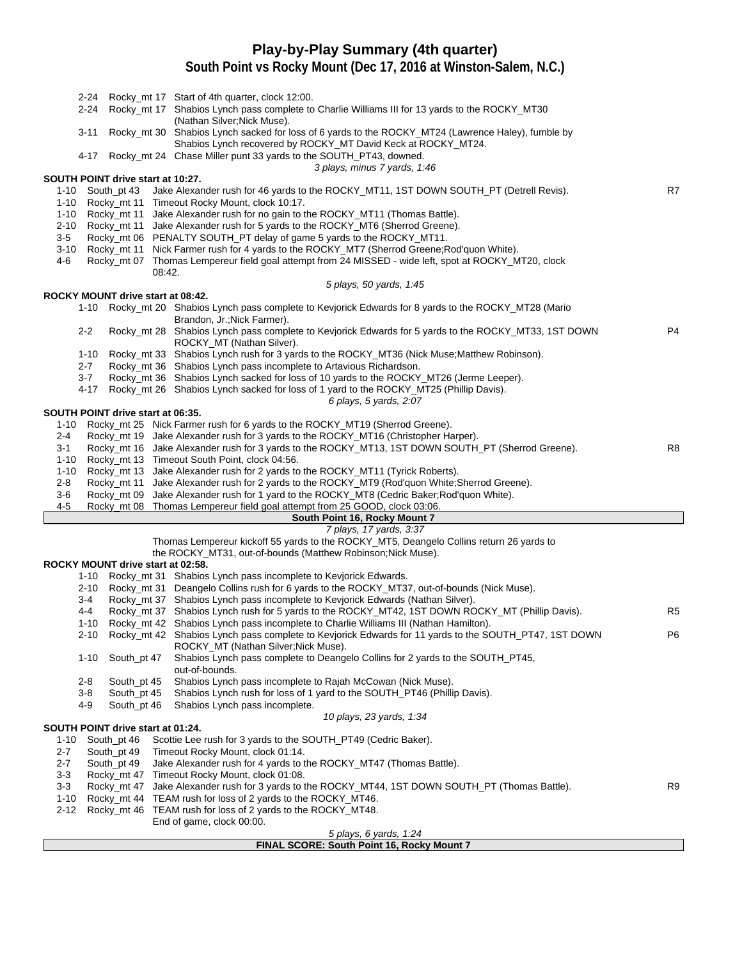### **Play-by-Play Summary (4th quarter)**

**South Point vs Rocky Mount (Dec 17, 2016 at Winston-Salem, N.C.)**

| (Nathan Silver; Nick Muse).<br>Rocky_mt 30 Shabios Lynch sacked for loss of 6 yards to the ROCKY_MT24 (Lawrence Haley), fumble by<br>3-11<br>Shabios Lynch recovered by ROCKY_MT David Keck at ROCKY_MT24.<br>4-17 Rocky_mt 24 Chase Miller punt 33 yards to the SOUTH_PT43, downed.<br>3 plays, minus 7 yards, 1:46<br>SOUTH POINT drive start at 10:27.<br>R7<br>Jake Alexander rush for 46 yards to the ROCKY_MT11, 1ST DOWN SOUTH_PT (Detrell Revis).<br>1-10 South $pt\,43$<br>Rocky_mt 11 Timeout Rocky Mount, clock 10:17.<br>1-10<br>Rocky_mt 11 Jake Alexander rush for no gain to the ROCKY_MT11 (Thomas Battle).<br>1-10<br>Rocky_mt 11 Jake Alexander rush for 5 yards to the ROCKY_MT6 (Sherrod Greene).<br>2-10<br>Rocky_mt 06 PENALTY SOUTH_PT delay of game 5 yards to the ROCKY_MT11.<br>$3-5$<br>Rocky_mt 11 Nick Farmer rush for 4 yards to the ROCKY_MT7 (Sherrod Greene; Rod'quon White).<br>3-10<br>Rocky_mt 07 Thomas Lempereur field goal attempt from 24 MISSED - wide left, spot at ROCKY_MT20, clock<br>4-6<br>08:42.<br>5 plays, 50 yards, 1:45<br>ROCKY MOUNT drive start at 08:42.<br>Rocky_mt 20 Shabios Lynch pass complete to Kevjorick Edwards for 8 yards to the ROCKY_MT28 (Mario<br>1-10<br>Brandon, Jr.; Nick Farmer).<br>P <sub>4</sub><br>$2 - 2$<br>Rocky_mt 28 Shabios Lynch pass complete to Kevjorick Edwards for 5 yards to the ROCKY_MT33, 1ST DOWN<br>ROCKY_MT (Nathan Silver).<br>Rocky_mt 33 Shabios Lynch rush for 3 yards to the ROCKY_MT36 (Nick Muse;Matthew Robinson).<br>$1 - 10$<br>Rocky mt 36 Shabios Lynch pass incomplete to Artavious Richardson.<br>$2 - 7$<br>$3 - 7$<br>Rocky_mt 36 Shabios Lynch sacked for loss of 10 yards to the ROCKY_MT26 (Jerme Leeper).<br>4-17<br>Rocky_mt 26 Shabios Lynch sacked for loss of 1 yard to the ROCKY_MT25 (Phillip Davis).<br>6 plays, 5 yards, 2:07<br>SOUTH POINT drive start at 06:35.<br>Rocky_mt 25 Nick Farmer rush for 6 yards to the ROCKY_MT19 (Sherrod Greene).<br>1-10<br>Rocky_mt 19 Jake Alexander rush for 3 yards to the ROCKY_MT16 (Christopher Harper).<br>2-4<br>Rocky_mt 16 Jake Alexander rush for 3 yards to the ROCKY_MT13, 1ST DOWN SOUTH_PT (Sherrod Greene).<br>R <sub>8</sub><br>3-1<br>Rocky_mt 13 Timeout South Point, clock 04:56.<br>$1 - 10$<br>Rocky_mt 13 Jake Alexander rush for 2 yards to the ROCKY_MT11 (Tyrick Roberts).<br>1-10<br>Rocky_mt 11 Jake Alexander rush for 2 yards to the ROCKY_MT9 (Rod'quon White;Sherrod Greene).<br>2-8<br>3-6<br>Rocky_mt 09 Jake Alexander rush for 1 yard to the ROCKY_MT8 (Cedric Baker; Rod'quon White).<br>$4 - 5$<br>Rocky_mt 08 Thomas Lempereur field goal attempt from 25 GOOD, clock 03:06.<br>South Point 16, Rocky Mount 7<br>7 plays, 17 yards, 3:37<br>Thomas Lempereur kickoff 55 yards to the ROCKY_MT5, Deangelo Collins return 26 yards to<br>the ROCKY_MT31, out-of-bounds (Matthew Robinson; Nick Muse). |
|-------------------------------------------------------------------------------------------------------------------------------------------------------------------------------------------------------------------------------------------------------------------------------------------------------------------------------------------------------------------------------------------------------------------------------------------------------------------------------------------------------------------------------------------------------------------------------------------------------------------------------------------------------------------------------------------------------------------------------------------------------------------------------------------------------------------------------------------------------------------------------------------------------------------------------------------------------------------------------------------------------------------------------------------------------------------------------------------------------------------------------------------------------------------------------------------------------------------------------------------------------------------------------------------------------------------------------------------------------------------------------------------------------------------------------------------------------------------------------------------------------------------------------------------------------------------------------------------------------------------------------------------------------------------------------------------------------------------------------------------------------------------------------------------------------------------------------------------------------------------------------------------------------------------------------------------------------------------------------------------------------------------------------------------------------------------------------------------------------------------------------------------------------------------------------------------------------------------------------------------------------------------------------------------------------------------------------------------------------------------------------------------------------------------------------------------------------------------------------------------------------------------------------------------------------------------------------------------------------------------------------------------------------------------------------------------------------------------------------------------------------------------------------------------------------------------------------------------------------------------------------------------------------------|
|                                                                                                                                                                                                                                                                                                                                                                                                                                                                                                                                                                                                                                                                                                                                                                                                                                                                                                                                                                                                                                                                                                                                                                                                                                                                                                                                                                                                                                                                                                                                                                                                                                                                                                                                                                                                                                                                                                                                                                                                                                                                                                                                                                                                                                                                                                                                                                                                                                                                                                                                                                                                                                                                                                                                                                                                                                                                                                             |
|                                                                                                                                                                                                                                                                                                                                                                                                                                                                                                                                                                                                                                                                                                                                                                                                                                                                                                                                                                                                                                                                                                                                                                                                                                                                                                                                                                                                                                                                                                                                                                                                                                                                                                                                                                                                                                                                                                                                                                                                                                                                                                                                                                                                                                                                                                                                                                                                                                                                                                                                                                                                                                                                                                                                                                                                                                                                                                             |
|                                                                                                                                                                                                                                                                                                                                                                                                                                                                                                                                                                                                                                                                                                                                                                                                                                                                                                                                                                                                                                                                                                                                                                                                                                                                                                                                                                                                                                                                                                                                                                                                                                                                                                                                                                                                                                                                                                                                                                                                                                                                                                                                                                                                                                                                                                                                                                                                                                                                                                                                                                                                                                                                                                                                                                                                                                                                                                             |
|                                                                                                                                                                                                                                                                                                                                                                                                                                                                                                                                                                                                                                                                                                                                                                                                                                                                                                                                                                                                                                                                                                                                                                                                                                                                                                                                                                                                                                                                                                                                                                                                                                                                                                                                                                                                                                                                                                                                                                                                                                                                                                                                                                                                                                                                                                                                                                                                                                                                                                                                                                                                                                                                                                                                                                                                                                                                                                             |
|                                                                                                                                                                                                                                                                                                                                                                                                                                                                                                                                                                                                                                                                                                                                                                                                                                                                                                                                                                                                                                                                                                                                                                                                                                                                                                                                                                                                                                                                                                                                                                                                                                                                                                                                                                                                                                                                                                                                                                                                                                                                                                                                                                                                                                                                                                                                                                                                                                                                                                                                                                                                                                                                                                                                                                                                                                                                                                             |
|                                                                                                                                                                                                                                                                                                                                                                                                                                                                                                                                                                                                                                                                                                                                                                                                                                                                                                                                                                                                                                                                                                                                                                                                                                                                                                                                                                                                                                                                                                                                                                                                                                                                                                                                                                                                                                                                                                                                                                                                                                                                                                                                                                                                                                                                                                                                                                                                                                                                                                                                                                                                                                                                                                                                                                                                                                                                                                             |
|                                                                                                                                                                                                                                                                                                                                                                                                                                                                                                                                                                                                                                                                                                                                                                                                                                                                                                                                                                                                                                                                                                                                                                                                                                                                                                                                                                                                                                                                                                                                                                                                                                                                                                                                                                                                                                                                                                                                                                                                                                                                                                                                                                                                                                                                                                                                                                                                                                                                                                                                                                                                                                                                                                                                                                                                                                                                                                             |
|                                                                                                                                                                                                                                                                                                                                                                                                                                                                                                                                                                                                                                                                                                                                                                                                                                                                                                                                                                                                                                                                                                                                                                                                                                                                                                                                                                                                                                                                                                                                                                                                                                                                                                                                                                                                                                                                                                                                                                                                                                                                                                                                                                                                                                                                                                                                                                                                                                                                                                                                                                                                                                                                                                                                                                                                                                                                                                             |
|                                                                                                                                                                                                                                                                                                                                                                                                                                                                                                                                                                                                                                                                                                                                                                                                                                                                                                                                                                                                                                                                                                                                                                                                                                                                                                                                                                                                                                                                                                                                                                                                                                                                                                                                                                                                                                                                                                                                                                                                                                                                                                                                                                                                                                                                                                                                                                                                                                                                                                                                                                                                                                                                                                                                                                                                                                                                                                             |
|                                                                                                                                                                                                                                                                                                                                                                                                                                                                                                                                                                                                                                                                                                                                                                                                                                                                                                                                                                                                                                                                                                                                                                                                                                                                                                                                                                                                                                                                                                                                                                                                                                                                                                                                                                                                                                                                                                                                                                                                                                                                                                                                                                                                                                                                                                                                                                                                                                                                                                                                                                                                                                                                                                                                                                                                                                                                                                             |
|                                                                                                                                                                                                                                                                                                                                                                                                                                                                                                                                                                                                                                                                                                                                                                                                                                                                                                                                                                                                                                                                                                                                                                                                                                                                                                                                                                                                                                                                                                                                                                                                                                                                                                                                                                                                                                                                                                                                                                                                                                                                                                                                                                                                                                                                                                                                                                                                                                                                                                                                                                                                                                                                                                                                                                                                                                                                                                             |
|                                                                                                                                                                                                                                                                                                                                                                                                                                                                                                                                                                                                                                                                                                                                                                                                                                                                                                                                                                                                                                                                                                                                                                                                                                                                                                                                                                                                                                                                                                                                                                                                                                                                                                                                                                                                                                                                                                                                                                                                                                                                                                                                                                                                                                                                                                                                                                                                                                                                                                                                                                                                                                                                                                                                                                                                                                                                                                             |
|                                                                                                                                                                                                                                                                                                                                                                                                                                                                                                                                                                                                                                                                                                                                                                                                                                                                                                                                                                                                                                                                                                                                                                                                                                                                                                                                                                                                                                                                                                                                                                                                                                                                                                                                                                                                                                                                                                                                                                                                                                                                                                                                                                                                                                                                                                                                                                                                                                                                                                                                                                                                                                                                                                                                                                                                                                                                                                             |
|                                                                                                                                                                                                                                                                                                                                                                                                                                                                                                                                                                                                                                                                                                                                                                                                                                                                                                                                                                                                                                                                                                                                                                                                                                                                                                                                                                                                                                                                                                                                                                                                                                                                                                                                                                                                                                                                                                                                                                                                                                                                                                                                                                                                                                                                                                                                                                                                                                                                                                                                                                                                                                                                                                                                                                                                                                                                                                             |
|                                                                                                                                                                                                                                                                                                                                                                                                                                                                                                                                                                                                                                                                                                                                                                                                                                                                                                                                                                                                                                                                                                                                                                                                                                                                                                                                                                                                                                                                                                                                                                                                                                                                                                                                                                                                                                                                                                                                                                                                                                                                                                                                                                                                                                                                                                                                                                                                                                                                                                                                                                                                                                                                                                                                                                                                                                                                                                             |
|                                                                                                                                                                                                                                                                                                                                                                                                                                                                                                                                                                                                                                                                                                                                                                                                                                                                                                                                                                                                                                                                                                                                                                                                                                                                                                                                                                                                                                                                                                                                                                                                                                                                                                                                                                                                                                                                                                                                                                                                                                                                                                                                                                                                                                                                                                                                                                                                                                                                                                                                                                                                                                                                                                                                                                                                                                                                                                             |
|                                                                                                                                                                                                                                                                                                                                                                                                                                                                                                                                                                                                                                                                                                                                                                                                                                                                                                                                                                                                                                                                                                                                                                                                                                                                                                                                                                                                                                                                                                                                                                                                                                                                                                                                                                                                                                                                                                                                                                                                                                                                                                                                                                                                                                                                                                                                                                                                                                                                                                                                                                                                                                                                                                                                                                                                                                                                                                             |
|                                                                                                                                                                                                                                                                                                                                                                                                                                                                                                                                                                                                                                                                                                                                                                                                                                                                                                                                                                                                                                                                                                                                                                                                                                                                                                                                                                                                                                                                                                                                                                                                                                                                                                                                                                                                                                                                                                                                                                                                                                                                                                                                                                                                                                                                                                                                                                                                                                                                                                                                                                                                                                                                                                                                                                                                                                                                                                             |
|                                                                                                                                                                                                                                                                                                                                                                                                                                                                                                                                                                                                                                                                                                                                                                                                                                                                                                                                                                                                                                                                                                                                                                                                                                                                                                                                                                                                                                                                                                                                                                                                                                                                                                                                                                                                                                                                                                                                                                                                                                                                                                                                                                                                                                                                                                                                                                                                                                                                                                                                                                                                                                                                                                                                                                                                                                                                                                             |
|                                                                                                                                                                                                                                                                                                                                                                                                                                                                                                                                                                                                                                                                                                                                                                                                                                                                                                                                                                                                                                                                                                                                                                                                                                                                                                                                                                                                                                                                                                                                                                                                                                                                                                                                                                                                                                                                                                                                                                                                                                                                                                                                                                                                                                                                                                                                                                                                                                                                                                                                                                                                                                                                                                                                                                                                                                                                                                             |
|                                                                                                                                                                                                                                                                                                                                                                                                                                                                                                                                                                                                                                                                                                                                                                                                                                                                                                                                                                                                                                                                                                                                                                                                                                                                                                                                                                                                                                                                                                                                                                                                                                                                                                                                                                                                                                                                                                                                                                                                                                                                                                                                                                                                                                                                                                                                                                                                                                                                                                                                                                                                                                                                                                                                                                                                                                                                                                             |
|                                                                                                                                                                                                                                                                                                                                                                                                                                                                                                                                                                                                                                                                                                                                                                                                                                                                                                                                                                                                                                                                                                                                                                                                                                                                                                                                                                                                                                                                                                                                                                                                                                                                                                                                                                                                                                                                                                                                                                                                                                                                                                                                                                                                                                                                                                                                                                                                                                                                                                                                                                                                                                                                                                                                                                                                                                                                                                             |
|                                                                                                                                                                                                                                                                                                                                                                                                                                                                                                                                                                                                                                                                                                                                                                                                                                                                                                                                                                                                                                                                                                                                                                                                                                                                                                                                                                                                                                                                                                                                                                                                                                                                                                                                                                                                                                                                                                                                                                                                                                                                                                                                                                                                                                                                                                                                                                                                                                                                                                                                                                                                                                                                                                                                                                                                                                                                                                             |
|                                                                                                                                                                                                                                                                                                                                                                                                                                                                                                                                                                                                                                                                                                                                                                                                                                                                                                                                                                                                                                                                                                                                                                                                                                                                                                                                                                                                                                                                                                                                                                                                                                                                                                                                                                                                                                                                                                                                                                                                                                                                                                                                                                                                                                                                                                                                                                                                                                                                                                                                                                                                                                                                                                                                                                                                                                                                                                             |
|                                                                                                                                                                                                                                                                                                                                                                                                                                                                                                                                                                                                                                                                                                                                                                                                                                                                                                                                                                                                                                                                                                                                                                                                                                                                                                                                                                                                                                                                                                                                                                                                                                                                                                                                                                                                                                                                                                                                                                                                                                                                                                                                                                                                                                                                                                                                                                                                                                                                                                                                                                                                                                                                                                                                                                                                                                                                                                             |
|                                                                                                                                                                                                                                                                                                                                                                                                                                                                                                                                                                                                                                                                                                                                                                                                                                                                                                                                                                                                                                                                                                                                                                                                                                                                                                                                                                                                                                                                                                                                                                                                                                                                                                                                                                                                                                                                                                                                                                                                                                                                                                                                                                                                                                                                                                                                                                                                                                                                                                                                                                                                                                                                                                                                                                                                                                                                                                             |
|                                                                                                                                                                                                                                                                                                                                                                                                                                                                                                                                                                                                                                                                                                                                                                                                                                                                                                                                                                                                                                                                                                                                                                                                                                                                                                                                                                                                                                                                                                                                                                                                                                                                                                                                                                                                                                                                                                                                                                                                                                                                                                                                                                                                                                                                                                                                                                                                                                                                                                                                                                                                                                                                                                                                                                                                                                                                                                             |
|                                                                                                                                                                                                                                                                                                                                                                                                                                                                                                                                                                                                                                                                                                                                                                                                                                                                                                                                                                                                                                                                                                                                                                                                                                                                                                                                                                                                                                                                                                                                                                                                                                                                                                                                                                                                                                                                                                                                                                                                                                                                                                                                                                                                                                                                                                                                                                                                                                                                                                                                                                                                                                                                                                                                                                                                                                                                                                             |
|                                                                                                                                                                                                                                                                                                                                                                                                                                                                                                                                                                                                                                                                                                                                                                                                                                                                                                                                                                                                                                                                                                                                                                                                                                                                                                                                                                                                                                                                                                                                                                                                                                                                                                                                                                                                                                                                                                                                                                                                                                                                                                                                                                                                                                                                                                                                                                                                                                                                                                                                                                                                                                                                                                                                                                                                                                                                                                             |
|                                                                                                                                                                                                                                                                                                                                                                                                                                                                                                                                                                                                                                                                                                                                                                                                                                                                                                                                                                                                                                                                                                                                                                                                                                                                                                                                                                                                                                                                                                                                                                                                                                                                                                                                                                                                                                                                                                                                                                                                                                                                                                                                                                                                                                                                                                                                                                                                                                                                                                                                                                                                                                                                                                                                                                                                                                                                                                             |
| ROCKY MOUNT drive start at 02:58.                                                                                                                                                                                                                                                                                                                                                                                                                                                                                                                                                                                                                                                                                                                                                                                                                                                                                                                                                                                                                                                                                                                                                                                                                                                                                                                                                                                                                                                                                                                                                                                                                                                                                                                                                                                                                                                                                                                                                                                                                                                                                                                                                                                                                                                                                                                                                                                                                                                                                                                                                                                                                                                                                                                                                                                                                                                                           |
| Rocky_mt 31 Shabios Lynch pass incomplete to Kevjorick Edwards.<br>$1 - 10$                                                                                                                                                                                                                                                                                                                                                                                                                                                                                                                                                                                                                                                                                                                                                                                                                                                                                                                                                                                                                                                                                                                                                                                                                                                                                                                                                                                                                                                                                                                                                                                                                                                                                                                                                                                                                                                                                                                                                                                                                                                                                                                                                                                                                                                                                                                                                                                                                                                                                                                                                                                                                                                                                                                                                                                                                                 |
| Rocky_mt 31 Deangelo Collins rush for 6 yards to the ROCKY_MT37, out-of-bounds (Nick Muse).<br>$2 - 10$                                                                                                                                                                                                                                                                                                                                                                                                                                                                                                                                                                                                                                                                                                                                                                                                                                                                                                                                                                                                                                                                                                                                                                                                                                                                                                                                                                                                                                                                                                                                                                                                                                                                                                                                                                                                                                                                                                                                                                                                                                                                                                                                                                                                                                                                                                                                                                                                                                                                                                                                                                                                                                                                                                                                                                                                     |
| $3-4$<br>Rocky_mt 37 Shabios Lynch pass incomplete to Kevjorick Edwards (Nathan Silver).<br>Rocky_mt 37 Shabios Lynch rush for 5 yards to the ROCKY_MT42, 1ST DOWN ROCKY_MT (Phillip Davis).<br>R <sub>5</sub><br>4-4                                                                                                                                                                                                                                                                                                                                                                                                                                                                                                                                                                                                                                                                                                                                                                                                                                                                                                                                                                                                                                                                                                                                                                                                                                                                                                                                                                                                                                                                                                                                                                                                                                                                                                                                                                                                                                                                                                                                                                                                                                                                                                                                                                                                                                                                                                                                                                                                                                                                                                                                                                                                                                                                                       |
| Rocky_mt 42 Shabios Lynch pass incomplete to Charlie Williams III (Nathan Hamilton).<br>1-10                                                                                                                                                                                                                                                                                                                                                                                                                                                                                                                                                                                                                                                                                                                                                                                                                                                                                                                                                                                                                                                                                                                                                                                                                                                                                                                                                                                                                                                                                                                                                                                                                                                                                                                                                                                                                                                                                                                                                                                                                                                                                                                                                                                                                                                                                                                                                                                                                                                                                                                                                                                                                                                                                                                                                                                                                |
| $2 - 10$<br>Rocky_mt 42 Shabios Lynch pass complete to Keviorick Edwards for 11 yards to the SOUTH_PT47, 1ST DOWN<br>P6                                                                                                                                                                                                                                                                                                                                                                                                                                                                                                                                                                                                                                                                                                                                                                                                                                                                                                                                                                                                                                                                                                                                                                                                                                                                                                                                                                                                                                                                                                                                                                                                                                                                                                                                                                                                                                                                                                                                                                                                                                                                                                                                                                                                                                                                                                                                                                                                                                                                                                                                                                                                                                                                                                                                                                                     |
| ROCKY_MT (Nathan Silver; Nick Muse).                                                                                                                                                                                                                                                                                                                                                                                                                                                                                                                                                                                                                                                                                                                                                                                                                                                                                                                                                                                                                                                                                                                                                                                                                                                                                                                                                                                                                                                                                                                                                                                                                                                                                                                                                                                                                                                                                                                                                                                                                                                                                                                                                                                                                                                                                                                                                                                                                                                                                                                                                                                                                                                                                                                                                                                                                                                                        |
| Shabios Lynch pass complete to Deangelo Collins for 2 yards to the SOUTH PT45.<br>$1 - 10$<br>South_pt 47<br>out-of-bounds.                                                                                                                                                                                                                                                                                                                                                                                                                                                                                                                                                                                                                                                                                                                                                                                                                                                                                                                                                                                                                                                                                                                                                                                                                                                                                                                                                                                                                                                                                                                                                                                                                                                                                                                                                                                                                                                                                                                                                                                                                                                                                                                                                                                                                                                                                                                                                                                                                                                                                                                                                                                                                                                                                                                                                                                 |
| $2 - 8$<br>South_pt 45<br>Shabios Lynch pass incomplete to Rajah McCowan (Nick Muse).                                                                                                                                                                                                                                                                                                                                                                                                                                                                                                                                                                                                                                                                                                                                                                                                                                                                                                                                                                                                                                                                                                                                                                                                                                                                                                                                                                                                                                                                                                                                                                                                                                                                                                                                                                                                                                                                                                                                                                                                                                                                                                                                                                                                                                                                                                                                                                                                                                                                                                                                                                                                                                                                                                                                                                                                                       |
| Shabios Lynch rush for loss of 1 yard to the SOUTH_PT46 (Phillip Davis).<br>3-8<br>South_pt 45                                                                                                                                                                                                                                                                                                                                                                                                                                                                                                                                                                                                                                                                                                                                                                                                                                                                                                                                                                                                                                                                                                                                                                                                                                                                                                                                                                                                                                                                                                                                                                                                                                                                                                                                                                                                                                                                                                                                                                                                                                                                                                                                                                                                                                                                                                                                                                                                                                                                                                                                                                                                                                                                                                                                                                                                              |
| Shabios Lynch pass incomplete.<br>4-9<br>South pt 46                                                                                                                                                                                                                                                                                                                                                                                                                                                                                                                                                                                                                                                                                                                                                                                                                                                                                                                                                                                                                                                                                                                                                                                                                                                                                                                                                                                                                                                                                                                                                                                                                                                                                                                                                                                                                                                                                                                                                                                                                                                                                                                                                                                                                                                                                                                                                                                                                                                                                                                                                                                                                                                                                                                                                                                                                                                        |
| 10 plays, 23 yards, 1:34                                                                                                                                                                                                                                                                                                                                                                                                                                                                                                                                                                                                                                                                                                                                                                                                                                                                                                                                                                                                                                                                                                                                                                                                                                                                                                                                                                                                                                                                                                                                                                                                                                                                                                                                                                                                                                                                                                                                                                                                                                                                                                                                                                                                                                                                                                                                                                                                                                                                                                                                                                                                                                                                                                                                                                                                                                                                                    |
| SOUTH POINT drive start at 01:24.                                                                                                                                                                                                                                                                                                                                                                                                                                                                                                                                                                                                                                                                                                                                                                                                                                                                                                                                                                                                                                                                                                                                                                                                                                                                                                                                                                                                                                                                                                                                                                                                                                                                                                                                                                                                                                                                                                                                                                                                                                                                                                                                                                                                                                                                                                                                                                                                                                                                                                                                                                                                                                                                                                                                                                                                                                                                           |
| South_pt 46<br>Scottie Lee rush for 3 yards to the SOUTH_PT49 (Cedric Baker).<br>1-10<br>Timeout Rocky Mount, clock 01:14.<br>2-7<br>South_pt 49                                                                                                                                                                                                                                                                                                                                                                                                                                                                                                                                                                                                                                                                                                                                                                                                                                                                                                                                                                                                                                                                                                                                                                                                                                                                                                                                                                                                                                                                                                                                                                                                                                                                                                                                                                                                                                                                                                                                                                                                                                                                                                                                                                                                                                                                                                                                                                                                                                                                                                                                                                                                                                                                                                                                                            |
| $2 - 7$<br>South pt 49<br>Jake Alexander rush for 4 yards to the ROCKY MT47 (Thomas Battle).                                                                                                                                                                                                                                                                                                                                                                                                                                                                                                                                                                                                                                                                                                                                                                                                                                                                                                                                                                                                                                                                                                                                                                                                                                                                                                                                                                                                                                                                                                                                                                                                                                                                                                                                                                                                                                                                                                                                                                                                                                                                                                                                                                                                                                                                                                                                                                                                                                                                                                                                                                                                                                                                                                                                                                                                                |
| $3 - 3$<br>Rocky_mt 47 Timeout Rocky Mount, clock 01:08.                                                                                                                                                                                                                                                                                                                                                                                                                                                                                                                                                                                                                                                                                                                                                                                                                                                                                                                                                                                                                                                                                                                                                                                                                                                                                                                                                                                                                                                                                                                                                                                                                                                                                                                                                                                                                                                                                                                                                                                                                                                                                                                                                                                                                                                                                                                                                                                                                                                                                                                                                                                                                                                                                                                                                                                                                                                    |
| $3 - 3$<br>Rocky_mt 47 Jake Alexander rush for 3 yards to the ROCKY_MT44, 1ST DOWN SOUTH_PT (Thomas Battle).<br>R <sub>9</sub>                                                                                                                                                                                                                                                                                                                                                                                                                                                                                                                                                                                                                                                                                                                                                                                                                                                                                                                                                                                                                                                                                                                                                                                                                                                                                                                                                                                                                                                                                                                                                                                                                                                                                                                                                                                                                                                                                                                                                                                                                                                                                                                                                                                                                                                                                                                                                                                                                                                                                                                                                                                                                                                                                                                                                                              |
| $1 - 10$<br>Rocky_mt 44 TEAM rush for loss of 2 yards to the ROCKY_MT46.                                                                                                                                                                                                                                                                                                                                                                                                                                                                                                                                                                                                                                                                                                                                                                                                                                                                                                                                                                                                                                                                                                                                                                                                                                                                                                                                                                                                                                                                                                                                                                                                                                                                                                                                                                                                                                                                                                                                                                                                                                                                                                                                                                                                                                                                                                                                                                                                                                                                                                                                                                                                                                                                                                                                                                                                                                    |
| $2 - 12$<br>Rocky_mt 46 TEAM rush for loss of 2 yards to the ROCKY_MT48.<br>End of game, clock 00:00.                                                                                                                                                                                                                                                                                                                                                                                                                                                                                                                                                                                                                                                                                                                                                                                                                                                                                                                                                                                                                                                                                                                                                                                                                                                                                                                                                                                                                                                                                                                                                                                                                                                                                                                                                                                                                                                                                                                                                                                                                                                                                                                                                                                                                                                                                                                                                                                                                                                                                                                                                                                                                                                                                                                                                                                                       |
| 5 plays, 6 yards, 1:24                                                                                                                                                                                                                                                                                                                                                                                                                                                                                                                                                                                                                                                                                                                                                                                                                                                                                                                                                                                                                                                                                                                                                                                                                                                                                                                                                                                                                                                                                                                                                                                                                                                                                                                                                                                                                                                                                                                                                                                                                                                                                                                                                                                                                                                                                                                                                                                                                                                                                                                                                                                                                                                                                                                                                                                                                                                                                      |

**FINAL SCORE: South Point 16, Rocky Mount 7**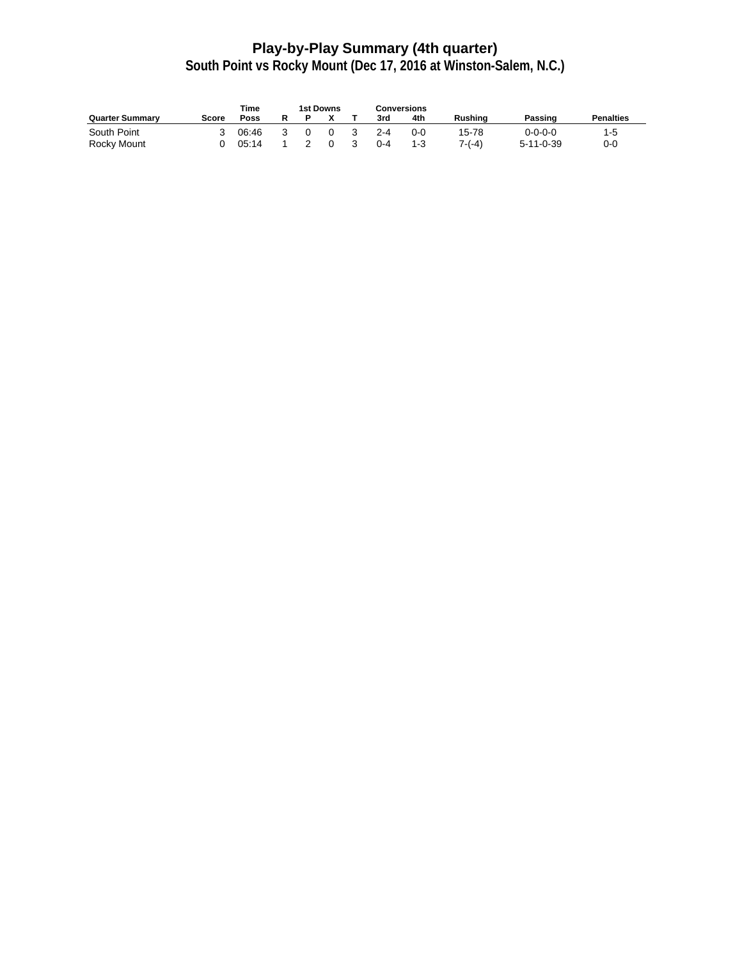## **Play-by-Play Summary (4th quarter)**

|                        | <b>Time</b> |       | 1st Downs |     |    |         | Conversions |          |                   |                  |
|------------------------|-------------|-------|-----------|-----|----|---------|-------------|----------|-------------------|------------------|
| <b>Quarter Summary</b> | Score       | Poss  |           |     |    | 3rd     | 4th         | Rushina  | Passing           | <b>Penalties</b> |
| South Point            |             | 06:46 |           | _റ  | -3 | $2 - 4$ | $0 - 0$     | 15-78    | 0-0-0-0           | 1-5              |
| Rocky Mount            |             | 05:14 | 2         | - 0 | -3 | $0 - 4$ | $1 - 3$     | $7-(-4)$ | $5 - 11 - 0 - 39$ | $0 - 0$          |